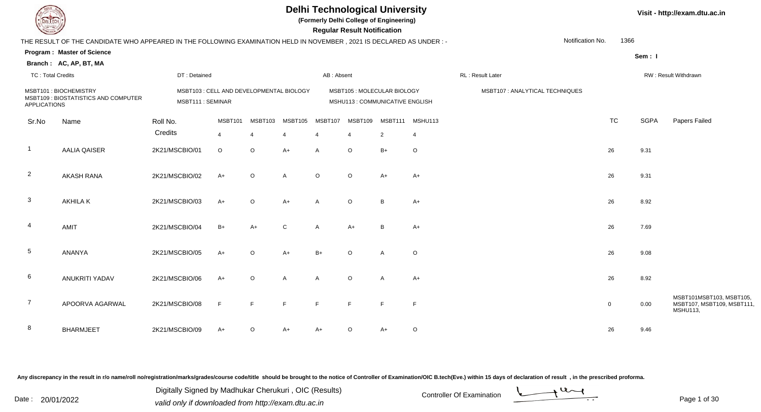**(Formerly Delhi College of Engineering)**

|                     |                                                                                                                                                                                                                                                                                                              |                                                                                                               |                                                                      |                            |                                                    |                                                                                      |                                                                |                                                                           |                                                                                                                                                                                                                              | Notification No. | 1366                            |                                                                       |                                                                                       |
|---------------------|--------------------------------------------------------------------------------------------------------------------------------------------------------------------------------------------------------------------------------------------------------------------------------------------------------------|---------------------------------------------------------------------------------------------------------------|----------------------------------------------------------------------|----------------------------|----------------------------------------------------|--------------------------------------------------------------------------------------|----------------------------------------------------------------|---------------------------------------------------------------------------|------------------------------------------------------------------------------------------------------------------------------------------------------------------------------------------------------------------------------|------------------|---------------------------------|-----------------------------------------------------------------------|---------------------------------------------------------------------------------------|
|                     |                                                                                                                                                                                                                                                                                                              |                                                                                                               |                                                                      |                            |                                                    |                                                                                      |                                                                |                                                                           |                                                                                                                                                                                                                              |                  |                                 |                                                                       |                                                                                       |
|                     |                                                                                                                                                                                                                                                                                                              |                                                                                                               |                                                                      |                            |                                                    |                                                                                      |                                                                |                                                                           |                                                                                                                                                                                                                              |                  |                                 |                                                                       |                                                                                       |
|                     |                                                                                                                                                                                                                                                                                                              |                                                                                                               |                                                                      |                            |                                                    |                                                                                      |                                                                |                                                                           | RL: Result Later                                                                                                                                                                                                             |                  |                                 |                                                                       | RW: Result Withdrawn                                                                  |
|                     |                                                                                                                                                                                                                                                                                                              |                                                                                                               |                                                                      |                            |                                                    |                                                                                      |                                                                |                                                                           |                                                                                                                                                                                                                              |                  |                                 |                                                                       |                                                                                       |
|                     |                                                                                                                                                                                                                                                                                                              |                                                                                                               |                                                                      |                            |                                                    |                                                                                      |                                                                |                                                                           |                                                                                                                                                                                                                              |                  |                                 |                                                                       |                                                                                       |
|                     |                                                                                                                                                                                                                                                                                                              |                                                                                                               |                                                                      |                            |                                                    |                                                                                      |                                                                |                                                                           |                                                                                                                                                                                                                              |                  |                                 |                                                                       |                                                                                       |
|                     |                                                                                                                                                                                                                                                                                                              |                                                                                                               |                                                                      |                            |                                                    |                                                                                      |                                                                |                                                                           |                                                                                                                                                                                                                              |                  |                                 |                                                                       | Papers Failed                                                                         |
|                     |                                                                                                                                                                                                                                                                                                              | $\overline{4}$                                                                                                | $\overline{4}$                                                       |                            |                                                    | $\overline{4}$                                                                       | $\overline{2}$                                                 | 4                                                                         |                                                                                                                                                                                                                              |                  |                                 |                                                                       |                                                                                       |
| <b>AALIA QAISER</b> | 2K21/MSCBIO/01                                                                                                                                                                                                                                                                                               | $\circ$                                                                                                       | $\circ$                                                              | $A+$                       | $\overline{A}$                                     | $\circ$                                                                              | $B+$                                                           | $\circ$                                                                   |                                                                                                                                                                                                                              |                  |                                 |                                                                       |                                                                                       |
|                     |                                                                                                                                                                                                                                                                                                              |                                                                                                               |                                                                      |                            |                                                    |                                                                                      |                                                                |                                                                           |                                                                                                                                                                                                                              |                  |                                 |                                                                       |                                                                                       |
|                     |                                                                                                                                                                                                                                                                                                              | $A+$                                                                                                          | $\circ$                                                              | $\mathsf{A}$               | $\circ$                                            | $\circ$                                                                              | $A+$                                                           | $A+$                                                                      |                                                                                                                                                                                                                              |                  |                                 |                                                                       |                                                                                       |
|                     |                                                                                                                                                                                                                                                                                                              |                                                                                                               |                                                                      |                            |                                                    |                                                                                      |                                                                |                                                                           |                                                                                                                                                                                                                              |                  |                                 |                                                                       |                                                                                       |
|                     |                                                                                                                                                                                                                                                                                                              |                                                                                                               |                                                                      |                            |                                                    |                                                                                      |                                                                |                                                                           |                                                                                                                                                                                                                              |                  |                                 |                                                                       |                                                                                       |
|                     |                                                                                                                                                                                                                                                                                                              |                                                                                                               |                                                                      |                            |                                                    |                                                                                      |                                                                |                                                                           |                                                                                                                                                                                                                              |                  |                                 |                                                                       |                                                                                       |
|                     |                                                                                                                                                                                                                                                                                                              |                                                                                                               |                                                                      |                            |                                                    |                                                                                      |                                                                |                                                                           |                                                                                                                                                                                                                              |                  |                                 |                                                                       |                                                                                       |
|                     |                                                                                                                                                                                                                                                                                                              |                                                                                                               |                                                                      |                            |                                                    |                                                                                      |                                                                |                                                                           |                                                                                                                                                                                                                              |                  |                                 |                                                                       |                                                                                       |
|                     |                                                                                                                                                                                                                                                                                                              |                                                                                                               |                                                                      |                            |                                                    |                                                                                      |                                                                |                                                                           |                                                                                                                                                                                                                              |                  |                                 |                                                                       |                                                                                       |
|                     |                                                                                                                                                                                                                                                                                                              |                                                                                                               |                                                                      |                            |                                                    |                                                                                      |                                                                |                                                                           |                                                                                                                                                                                                                              |                  |                                 |                                                                       |                                                                                       |
|                     |                                                                                                                                                                                                                                                                                                              |                                                                                                               |                                                                      |                            |                                                    |                                                                                      |                                                                |                                                                           |                                                                                                                                                                                                                              |                  |                                 |                                                                       |                                                                                       |
|                     |                                                                                                                                                                                                                                                                                                              | $A+$                                                                                                          | $\circ$                                                              | A                          | $\overline{A}$                                     | $\circ$                                                                              | A                                                              | $A+$                                                                      |                                                                                                                                                                                                                              |                  |                                 |                                                                       |                                                                                       |
|                     |                                                                                                                                                                                                                                                                                                              |                                                                                                               |                                                                      |                            |                                                    |                                                                                      |                                                                |                                                                           |                                                                                                                                                                                                                              |                  |                                 |                                                                       | MSBT101MSBT103, MSBT105,                                                              |
| APOORVA AGARWAL     | 2K21/MSCBIO/08                                                                                                                                                                                                                                                                                               | F                                                                                                             | $\mathsf F$                                                          | E                          | E                                                  | E                                                                                    |                                                                | $\mathsf F$                                                               |                                                                                                                                                                                                                              |                  |                                 |                                                                       | MSBT107, MSBT109, MSBT111<br><b>MSHU113,</b>                                          |
|                     |                                                                                                                                                                                                                                                                                                              |                                                                                                               |                                                                      |                            |                                                    |                                                                                      |                                                                |                                                                           |                                                                                                                                                                                                                              |                  |                                 |                                                                       |                                                                                       |
| <b>BHARMJEET</b>    | 2K21/MSCBIO/09                                                                                                                                                                                                                                                                                               | $A+$                                                                                                          | $\circ$                                                              | A+                         | A+                                                 | $\circ$                                                                              | A+                                                             | $\circ$                                                                   |                                                                                                                                                                                                                              |                  |                                 |                                                                       |                                                                                       |
|                     | <b>Consultor of Designation</b><br><b>Program: Master of Science</b><br>Branch: AC, AP, BT, MA<br><b>TC: Total Credits</b><br>MSBT101: BIOCHEMISTRY<br>MSBT109 : BIOSTATISTICS AND COMPUTER<br><b>APPLICATIONS</b><br>Name<br><b>AKASH RANA</b><br><b>AKHILAK</b><br><b>AMIT</b><br>ANANYA<br>ANUKRITI YADAV | Roll No.<br>Credits<br>2K21/MSCBIO/02<br>2K21/MSCBIO/03<br>2K21/MSCBIO/04<br>2K21/MSCBIO/05<br>2K21/MSCBIO/06 | DT: Detained<br>MSBT111 : SEMINAR<br>MSBT101<br>$A+$<br>$B+$<br>$A+$ | $\circ$<br>$A+$<br>$\circ$ | MSBT105<br>MSBT103<br>$A+$<br>$\mathsf{C}$<br>$A+$ | MSBT103 : CELL AND DEVELOPMENTAL BIOLOGY<br>$\overline{A}$<br>$\overline{A}$<br>$B+$ | AB: Absent<br>MSBT109<br>MSBT107<br>$\circ$<br>$A+$<br>$\circ$ | <b>Regular Result Notification</b><br>MSBT111<br>B<br>B<br>$\overline{A}$ | THE RESULT OF THE CANDIDATE WHO APPEARED IN THE FOLLOWING EXAMINATION HELD IN NOVEMBER, 2021 IS DECLARED AS UNDER :-<br>MSBT105 : MOLECULAR BIOLOGY<br>MSHU113 : COMMUNICATIVE ENGLISH<br>MSHU113<br>$A+$<br>$A+$<br>$\circ$ |                  | MSBT107 : ANALYTICAL TECHNIQUES | <b>TC</b><br>26<br>26<br>26<br>26<br>26<br>26<br>$\overline{0}$<br>26 | Sem: I<br><b>SGPA</b><br>9.31<br>9.31<br>8.92<br>7.69<br>9.08<br>8.92<br>0.00<br>9.46 |

Any discrepancy in the result in r/o name/roll no/registration/marks/grades/course code/title should be brought to the notice of Controller of Examination/OIC B.tech(Eve.) within 15 days of declaration of result, in the pr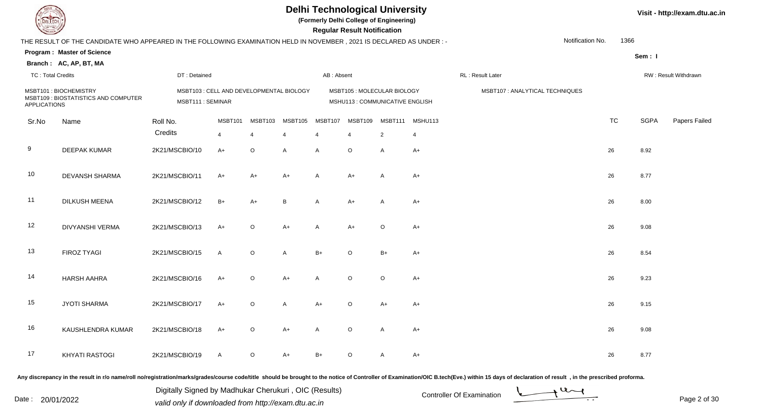**(Formerly Delhi College of Engineering)**

| <b>Courses of J</b>      |                                                                                                                      |                                                              |                |                             |                |                             | <b>Regular Result Notification</b>                             |                |                 |                                 |                  |           |             |                      |
|--------------------------|----------------------------------------------------------------------------------------------------------------------|--------------------------------------------------------------|----------------|-----------------------------|----------------|-----------------------------|----------------------------------------------------------------|----------------|-----------------|---------------------------------|------------------|-----------|-------------|----------------------|
|                          | THE RESULT OF THE CANDIDATE WHO APPEARED IN THE FOLLOWING EXAMINATION HELD IN NOVEMBER, 2021 IS DECLARED AS UNDER :- |                                                              |                |                             |                |                             |                                                                |                |                 |                                 | Notification No. | 1366      |             |                      |
|                          | <b>Program: Master of Science</b>                                                                                    |                                                              |                |                             |                |                             |                                                                |                |                 |                                 |                  |           | Sem: I      |                      |
|                          | Branch: AC, AP, BT, MA                                                                                               |                                                              |                |                             |                |                             |                                                                |                |                 |                                 |                  |           |             |                      |
| <b>TC: Total Credits</b> |                                                                                                                      | DT: Detained                                                 |                |                             |                | AB: Absent                  |                                                                |                |                 | RL: Result Later                |                  |           |             | RW: Result Withdrawn |
| <b>APPLICATIONS</b>      | MSBT101: BIOCHEMISTRY<br>MSBT109 : BIOSTATISTICS AND COMPUTER                                                        | MSBT103 : CELL AND DEVELOPMENTAL BIOLOGY<br>MSBT111: SEMINAR |                |                             |                |                             | MSBT105 : MOLECULAR BIOLOGY<br>MSHU113 : COMMUNICATIVE ENGLISH |                |                 | MSBT107 : ANALYTICAL TECHNIQUES |                  |           |             |                      |
| Sr.No                    | Name                                                                                                                 | Roll No.                                                     | MSBT101        | MSBT103                     | MSBT105        | MSBT107                     | MSBT109                                                        |                | MSBT111 MSHU113 |                                 |                  | <b>TC</b> | <b>SGPA</b> | Papers Failed        |
|                          |                                                                                                                      | Credits                                                      | $\overline{4}$ | $\boldsymbol{\vartriangle}$ | $\overline{4}$ | $\boldsymbol{\vartriangle}$ | $\overline{4}$                                                 | $\overline{2}$ | $\overline{4}$  |                                 |                  |           |             |                      |
| 9                        | <b>DEEPAK KUMAR</b>                                                                                                  | 2K21/MSCBIO/10                                               | $A+$           | $\circ$                     | $\overline{A}$ | $\overline{A}$              | $\circ$                                                        | $\mathsf{A}$   | $A+$            |                                 |                  | 26        | 8.92        |                      |
| 10                       | <b>DEVANSH SHARMA</b>                                                                                                | 2K21/MSCBIO/11                                               | $A+$           | A+                          | $A+$           | $\overline{A}$              | $A+$                                                           | $\mathsf{A}$   | $A+$            |                                 |                  | 26        | 8.77        |                      |
| 11                       | DILKUSH MEENA                                                                                                        | 2K21/MSCBIO/12                                               | $B+$           | $A+$                        | $\, {\bf B}$   | $\overline{A}$              | $A+$                                                           | A              | $A+$            |                                 |                  | 26        | 8.00        |                      |
| 12                       | <b>DIVYANSHI VERMA</b>                                                                                               | 2K21/MSCBIO/13                                               | $A+$           | $\circ$                     | $A+$           | $\mathsf{A}$                | $A+$                                                           | $\circ$        | $A+$            |                                 |                  | 26        | 9.08        |                      |
| 13                       | <b>FIROZ TYAGI</b>                                                                                                   | 2K21/MSCBIO/15                                               | $\mathsf{A}$   | $\circ$                     | A              | $B+$                        | $\circ$                                                        | $B+$           | $A+$            |                                 |                  | 26        | 8.54        |                      |
| 14                       | <b>HARSH AAHRA</b>                                                                                                   | 2K21/MSCBIO/16                                               | $A+$           | $\circ$                     | $A+$           | $\overline{A}$              | $\circ$                                                        | $\circ$        | $A+$            |                                 |                  | 26        | 9.23        |                      |
| 15                       | <b>JYOTI SHARMA</b>                                                                                                  | 2K21/MSCBIO/17                                               | $A+$           | $\circ$                     | $\mathsf{A}$   | $A+$                        | $\circ$                                                        | $A+$           | $A+$            |                                 |                  | 26        | 9.15        |                      |
| 16                       | KAUSHLENDRA KUMAR                                                                                                    | 2K21/MSCBIO/18                                               | $A+$           | $\circ$                     | $A+$           | $\overline{A}$              | $\circ$                                                        | A              | $A+$            |                                 |                  | 26        | 9.08        |                      |
| 17                       | <b>KHYATI RASTOGI</b>                                                                                                | 2K21/MSCBIO/19                                               | A              | $\circ$                     | A+             | B+                          | $\circ$                                                        | $\overline{A}$ | $A+$            |                                 |                  | 26        | 8.77        |                      |

Any discrepancy in the result in r/o name/roll no/registration/marks/grades/course code/title should be brought to the notice of Controller of Examination/OIC B.tech(Eve.) within 15 days of declaration of result, in the pr

Digitally Signed by Madhukar Cherukuri, OIC (Results)<br>Date : 20/01/2022 valid only if downloaded from http://oxam.dtu.ac.in valid only if downloaded from http://exam.dtu.ac.in

Digitally Signed by Madhukar Cherukuri , OIC (Results)

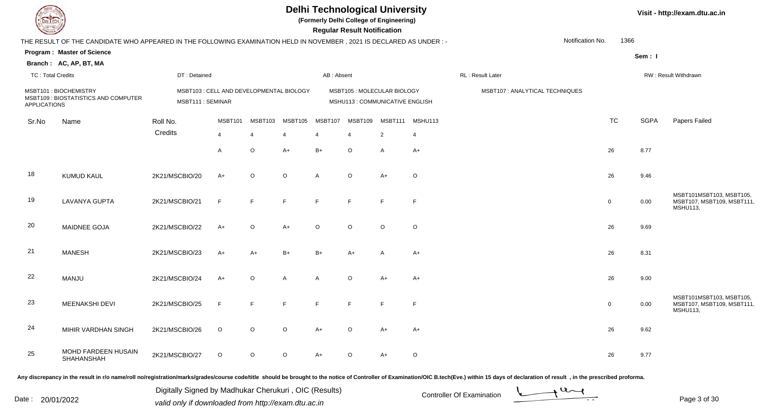| <b>DELIECH</b>           |                                                                                                                      |                                                              |                |         |                | <b>Regular Result Notification</b> |                          | <b>Delhi Technological University</b><br>(Formerly Delhi College of Engineering) |                |                                 |                  |                |             | Visit - http://exam.dtu.ac.in                                            |  |
|--------------------------|----------------------------------------------------------------------------------------------------------------------|--------------------------------------------------------------|----------------|---------|----------------|------------------------------------|--------------------------|----------------------------------------------------------------------------------|----------------|---------------------------------|------------------|----------------|-------------|--------------------------------------------------------------------------|--|
|                          | THE RESULT OF THE CANDIDATE WHO APPEARED IN THE FOLLOWING EXAMINATION HELD IN NOVEMBER, 2021 IS DECLARED AS UNDER :- |                                                              |                |         |                |                                    |                          |                                                                                  |                |                                 | Notification No. | 1366           |             |                                                                          |  |
|                          | Program: Master of Science                                                                                           |                                                              |                |         |                |                                    |                          |                                                                                  |                |                                 |                  |                | Sem: I      |                                                                          |  |
|                          | Branch: AC, AP, BT, MA                                                                                               |                                                              |                |         |                |                                    |                          |                                                                                  |                |                                 |                  |                |             |                                                                          |  |
| <b>TC: Total Credits</b> |                                                                                                                      | DT: Detained                                                 |                |         |                | AB: Absent                         |                          |                                                                                  |                | RL: Result Later                |                  |                |             | RW: Result Withdrawn                                                     |  |
| <b>APPLICATIONS</b>      | MSBT101: BIOCHEMISTRY<br>MSBT109 : BIOSTATISTICS AND COMPUTER                                                        | MSBT103 : CELL AND DEVELOPMENTAL BIOLOGY<br>MSBT111: SEMINAR |                |         |                |                                    |                          | MSBT105: MOLECULAR BIOLOGY<br>MSHU113 : COMMUNICATIVE ENGLISH                    |                | MSBT107 : ANALYTICAL TECHNIQUES |                  |                |             |                                                                          |  |
| Sr.No                    | Name                                                                                                                 | Roll No.                                                     | MSBT101        | MSBT103 | MSBT105        | MSBT107                            | MSBT109                  | MSBT111                                                                          | MSHU113        |                                 |                  | <b>TC</b>      | <b>SGPA</b> | Papers Failed                                                            |  |
|                          |                                                                                                                      | Credits                                                      | $\overline{4}$ | 4       | $\overline{4}$ | $\overline{4}$                     | $\overline{\mathcal{A}}$ | $\overline{2}$                                                                   | $\overline{4}$ |                                 |                  |                |             |                                                                          |  |
|                          |                                                                                                                      |                                                              | $\overline{A}$ | $\circ$ | $A+$           | $B+$                               | $\circ$                  | A                                                                                | $A+$           |                                 |                  | 26             | 8.77        |                                                                          |  |
| 18                       | <b>KUMUD KAUL</b>                                                                                                    | 2K21/MSCBIO/20                                               | $A+$           | $\circ$ | $\circ$        | $\overline{A}$                     | $\circ$                  | $A+$                                                                             | $\circ$        |                                 |                  | 26             | 9.46        |                                                                          |  |
| 19                       | <b>LAVANYA GUPTA</b>                                                                                                 | 2K21/MSCBIO/21                                               | F              | F.      | F              | E                                  | F.                       | F                                                                                | $\mathsf F$    |                                 |                  | $\overline{0}$ | 0.00        | MSBT101MSBT103, MSBT105,<br>MSBT107, MSBT109, MSBT111<br><b>MSHU113,</b> |  |
| 20                       | MAIDNEE GOJA                                                                                                         | 2K21/MSCBIO/22                                               | $A+$           | $\circ$ | $A+$           | $\circ$                            | $\circ$                  | $\circ$                                                                          | $\circ$        |                                 |                  | 26             | 9.69        |                                                                          |  |
| 21                       | <b>MANESH</b>                                                                                                        | 2K21/MSCBIO/23                                               | $A+$           | A+      | $B+$           | $B+$                               | $A+$                     | A                                                                                | $A+$           |                                 |                  | 26             | 8.31        |                                                                          |  |
| 22                       | MANJU                                                                                                                | 2K21/MSCBIO/24                                               | $A+$           | O       | A              | $\overline{A}$                     | $\circ$                  | $A+$                                                                             | $A+$           |                                 |                  | 26             | 9.00        |                                                                          |  |
| 23                       | MEENAKSHI DEVI                                                                                                       | 2K21/MSCBIO/25                                               | F              | F       |                |                                    | E                        | F                                                                                | $\mathsf{F}$   |                                 |                  | $\mathbf 0$    | 0.00        | MSBT101MSBT103, MSBT105,<br>MSBT107, MSBT109, MSBT111<br>MSHU113,        |  |
| 24                       | MIHIR VARDHAN SINGH                                                                                                  | 2K21/MSCBIO/26                                               | $\circ$        | $\circ$ | $\circ$        | $A+$                               | $\circ$                  | A+                                                                               | $A+$           |                                 |                  | 26             | 9.62        |                                                                          |  |
| 25                       | MOHD FARDEEN HUSAIN<br>SHAHANSHAH                                                                                    | 2K21/MSCBIO/27                                               | $\circ$        | $\circ$ | $\circ$        | $A+$                               | $\circ$                  | A+                                                                               | $\circ$        |                                 |                  | 26             | 9.77        |                                                                          |  |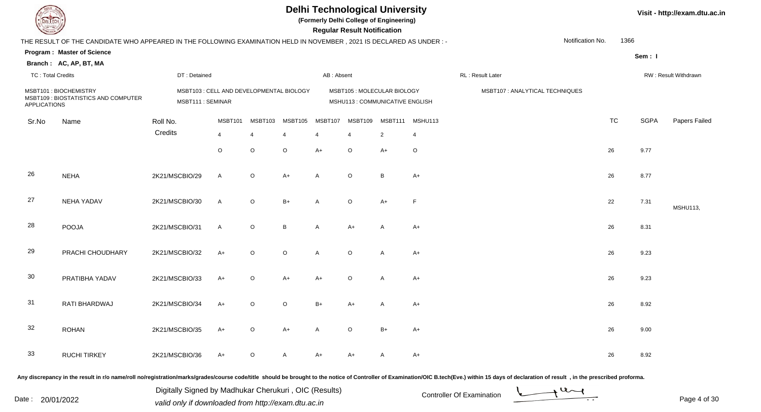|                          |                                                                                                                      |                                                              |         |                |         |                | <b>Regular Result Notification</b> | <b>Delhi Technological University</b><br>(Formerly Delhi College of Engineering) |         |                                 |                  |           |             | Visit - http://exam.dtu.ac.in |
|--------------------------|----------------------------------------------------------------------------------------------------------------------|--------------------------------------------------------------|---------|----------------|---------|----------------|------------------------------------|----------------------------------------------------------------------------------|---------|---------------------------------|------------------|-----------|-------------|-------------------------------|
|                          | THE RESULT OF THE CANDIDATE WHO APPEARED IN THE FOLLOWING EXAMINATION HELD IN NOVEMBER, 2021 IS DECLARED AS UNDER :- |                                                              |         |                |         |                |                                    |                                                                                  |         |                                 | Notification No. | 1366      |             |                               |
|                          | <b>Program: Master of Science</b>                                                                                    |                                                              |         |                |         |                |                                    |                                                                                  |         |                                 |                  |           | Sem: I      |                               |
|                          | Branch: AC, AP, BT, MA                                                                                               |                                                              |         |                |         |                |                                    |                                                                                  |         |                                 |                  |           |             |                               |
| <b>TC: Total Credits</b> |                                                                                                                      | DT: Detained                                                 |         |                |         | AB: Absent     |                                    |                                                                                  |         | RL : Result Later               |                  |           |             | RW: Result Withdrawn          |
| <b>APPLICATIONS</b>      | MSBT101: BIOCHEMISTRY<br>MSBT109 : BIOSTATISTICS AND COMPUTER                                                        | MSBT103 : CELL AND DEVELOPMENTAL BIOLOGY<br>MSBT111: SEMINAR |         |                |         |                |                                    | MSBT105: MOLECULAR BIOLOGY<br>MSHU113 : COMMUNICATIVE ENGLISH                    |         | MSBT107 : ANALYTICAL TECHNIQUES |                  |           |             |                               |
| Sr.No                    | Name                                                                                                                 | Roll No.                                                     | MSBT101 | MSBT103        | MSBT105 | MSBT107        | MSBT109                            | MSBT111                                                                          | MSHU113 |                                 |                  | <b>TC</b> | <b>SGPA</b> | Papers Failed                 |
|                          |                                                                                                                      | Credits                                                      | 4       | $\overline{4}$ | 4       | $\overline{4}$ | $\overline{4}$                     | $\overline{2}$                                                                   | 4       |                                 |                  |           |             |                               |
|                          |                                                                                                                      |                                                              | $\circ$ | $\circ$        | $\circ$ | $A+$           | $\circ$                            | $A+$                                                                             | $\circ$ |                                 |                  | 26        | 9.77        |                               |
| 26                       | <b>NEHA</b>                                                                                                          | 2K21/MSCBIO/29                                               | A       | $\mathsf O$    | $A+$    | $\mathsf{A}$   | $\circ$                            | B                                                                                | $A+$    |                                 |                  | 26        | 8.77        |                               |
| 27                       | NEHA YADAV                                                                                                           | 2K21/MSCBIO/30                                               | A       | $\mathsf O$    | $B+$    | $\mathsf{A}$   | $\circ$                            | $A+$                                                                             | F       |                                 |                  | 22        | 7.31        | <b>MSHU113,</b>               |
| 28                       | POOJA                                                                                                                | 2K21/MSCBIO/31                                               | A       | $\mathsf O$    | B       | $\mathsf{A}$   | $A+$                               | Α                                                                                | $A+$    |                                 |                  | 26        | 8.31        |                               |
| 29                       | PRACHI CHOUDHARY                                                                                                     | 2K21/MSCBIO/32                                               | $A+$    | $\mathsf O$    | $\circ$ | $\mathsf{A}$   | $\circ$                            | A                                                                                | $A+$    |                                 |                  | 26        | 9.23        |                               |
| 30                       | PRATIBHA YADAV                                                                                                       | 2K21/MSCBIO/33                                               | A+      | $\circ$        | $A+$    | $A+$           | O                                  | Α                                                                                | $A+$    |                                 |                  | 26        | 9.23        |                               |
| 31                       | RATI BHARDWAJ                                                                                                        | 2K21/MSCBIO/34                                               | A+      | $\circ$        | $\circ$ | B+             | A+                                 | Α                                                                                | $A+$    |                                 |                  | 26        | 8.92        |                               |
| 32                       | <b>ROHAN</b>                                                                                                         | 2K21/MSCBIO/35                                               | $A+$    | $\circ$        | $A+$    | $\mathsf{A}$   | $\circ$                            | $B+$                                                                             | $A+$    |                                 |                  | 26        | 9.00        |                               |
| 33                       | <b>RUCHI TIRKEY</b>                                                                                                  | 2K21/MSCBIO/36                                               | $A+$    | $\circ$        | A       | $A+$           | $A+$                               | A                                                                                | $A+$    |                                 |                  | 26        | 8.92        |                               |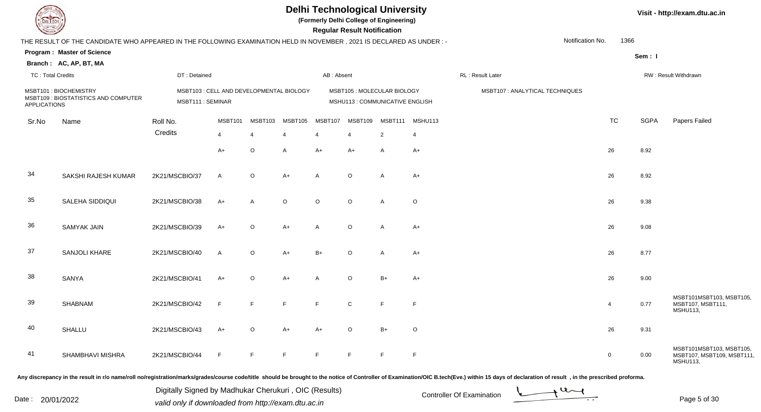| <b>DELTECH</b>           |                                                                                                                      |                  |                                          |                |                | <b>Regular Result Notification</b> |             | <b>Delhi Technological University</b><br>(Formerly Delhi College of Engineering) |                |                                 |                  |             | Visit - http://exam.dtu.ac.in |                                                                          |  |
|--------------------------|----------------------------------------------------------------------------------------------------------------------|------------------|------------------------------------------|----------------|----------------|------------------------------------|-------------|----------------------------------------------------------------------------------|----------------|---------------------------------|------------------|-------------|-------------------------------|--------------------------------------------------------------------------|--|
|                          | THE RESULT OF THE CANDIDATE WHO APPEARED IN THE FOLLOWING EXAMINATION HELD IN NOVEMBER, 2021 IS DECLARED AS UNDER :- |                  |                                          |                |                |                                    |             |                                                                                  |                |                                 | Notification No. | 1366        |                               |                                                                          |  |
|                          | <b>Program: Master of Science</b>                                                                                    |                  |                                          |                |                |                                    |             |                                                                                  |                |                                 |                  |             | Sem: I                        |                                                                          |  |
|                          | Branch: AC, AP, BT, MA                                                                                               |                  |                                          |                |                |                                    |             |                                                                                  |                |                                 |                  |             |                               |                                                                          |  |
| <b>TC: Total Credits</b> |                                                                                                                      | DT: Detained     |                                          |                |                | AB: Absent                         |             |                                                                                  |                | RL: Result Later                |                  |             |                               | RW: Result Withdrawn                                                     |  |
| <b>APPLICATIONS</b>      | MSBT101: BIOCHEMISTRY<br>MSBT109 : BIOSTATISTICS AND COMPUTER                                                        | MSBT111: SEMINAR | MSBT103 : CELL AND DEVELOPMENTAL BIOLOGY |                |                |                                    |             | MSBT105: MOLECULAR BIOLOGY<br>MSHU113 : COMMUNICATIVE ENGLISH                    |                | MSBT107 : ANALYTICAL TECHNIQUES |                  |             |                               |                                                                          |  |
| Sr.No                    | Name                                                                                                                 | Roll No.         | MSBT101                                  | MSBT103        | MSBT105        | MSBT107                            | MSBT109     | MSBT111                                                                          | MSHU113        |                                 |                  | <b>TC</b>   | <b>SGPA</b>                   | Papers Failed                                                            |  |
|                          |                                                                                                                      | Credits          | $\overline{4}$                           | $\overline{4}$ | $\overline{4}$ | $\overline{4}$                     | 4           | $\overline{2}$                                                                   | $\overline{4}$ |                                 |                  |             |                               |                                                                          |  |
|                          |                                                                                                                      |                  | $A+$                                     | $\mathsf O$    | A              | $A+$                               | $A+$        | A                                                                                | $A+$           |                                 |                  | 26          | 8.92                          |                                                                          |  |
| 34                       | SAKSHI RAJESH KUMAR                                                                                                  | 2K21/MSCBIO/37   | $\overline{A}$                           | $\mathsf O$    | $A+$           | $\mathsf{A}$                       | $\circ$     | A                                                                                | $A+$           |                                 |                  | 26          | 8.92                          |                                                                          |  |
| 35                       | SALEHA SIDDIQUI                                                                                                      | 2K21/MSCBIO/38   | $A+$                                     | A              | $\circ$        | $\circ$                            | $\circ$     | A                                                                                | $\circ$        |                                 |                  | 26          | 9.38                          |                                                                          |  |
| 36                       | <b>SAMYAK JAIN</b>                                                                                                   | 2K21/MSCBIO/39   | $A+$                                     | O              | $A+$           | $\mathsf{A}$                       | $\circ$     | A                                                                                | $A+$           |                                 |                  | 26          | 9.08                          |                                                                          |  |
| 37                       | SANJOLI KHARE                                                                                                        | 2K21/MSCBIO/40   | $\overline{A}$                           | $\mathsf O$    | $A+$           | $B+$                               | $\circ$     | A                                                                                | $A+$           |                                 |                  | 26          | 8.77                          |                                                                          |  |
| 38                       | SANYA                                                                                                                | 2K21/MSCBIO/41   | $A+$                                     | $\circ$        | A+             | $\overline{A}$                     | $\circ$     | $B+$                                                                             | $A+$           |                                 |                  | 26          | 9.00                          |                                                                          |  |
| 39                       | SHABNAM                                                                                                              | 2K21/MSCBIO/42   | F                                        | F              |                |                                    | $\mathbf C$ | F                                                                                | $\mathsf{F}$   |                                 |                  | 4           | 0.77                          | MSBT101MSBT103, MSBT105,<br>MSBT107, MSBT111,<br><b>MSHU113,</b>         |  |
| 40                       | SHALLU                                                                                                               | 2K21/MSCBIO/43   | $A+$                                     | $\circ$        | $A+$           | $A+$                               | $\circ$     | $B+$                                                                             | $\circ$        |                                 |                  | 26          | 9.31                          |                                                                          |  |
| -41                      | SHAMBHAVI MISHRA                                                                                                     | 2K21/MSCBIO/44   | $\mathsf F$                              | F              | F              | F                                  | F           | F                                                                                | F              |                                 |                  | $\mathbf 0$ | 0.00                          | MSBT101MSBT103, MSBT105,<br>MSBT107, MSBT109, MSBT111<br><b>MSHU113,</b> |  |

Digitally Signed by Madhukar Cherukuri, OIC (Results)<br>Date : 20/01/2022 valid only if downloaded from http://oxam.dtu.ac.in Digitally Signed by Madhukar Cherukuri , OIC (Results)valid only if downloaded from http://exam.dtu.ac.in

Page 5 of 30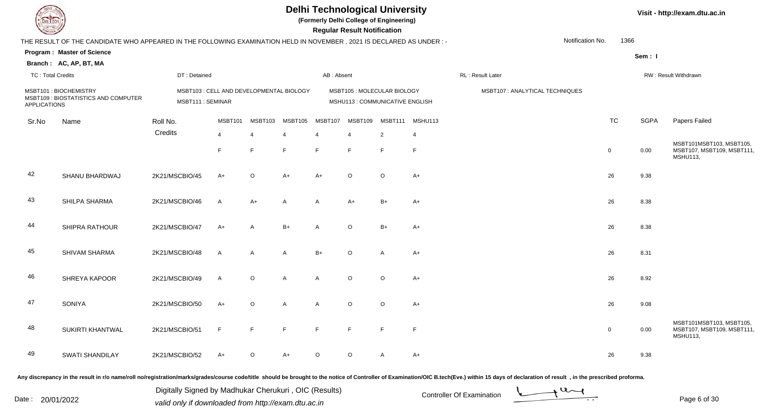|                     | DEL TECH                                                                                                             |                  |                                          |                |                       | <b>Delhi Technological University</b><br>(Formerly Delhi College of Engineering) | <b>Regular Result Notification</b>                            |              |                 |                                 |                  |                |             | Visit - http://exam.dtu.ac.in                                            |
|---------------------|----------------------------------------------------------------------------------------------------------------------|------------------|------------------------------------------|----------------|-----------------------|----------------------------------------------------------------------------------|---------------------------------------------------------------|--------------|-----------------|---------------------------------|------------------|----------------|-------------|--------------------------------------------------------------------------|
|                     | THE RESULT OF THE CANDIDATE WHO APPEARED IN THE FOLLOWING EXAMINATION HELD IN NOVEMBER, 2021 IS DECLARED AS UNDER :- |                  |                                          |                |                       |                                                                                  |                                                               |              |                 |                                 | Notification No. | 1366           |             |                                                                          |
|                     | <b>Program: Master of Science</b>                                                                                    |                  |                                          |                |                       |                                                                                  |                                                               |              |                 |                                 |                  |                |             |                                                                          |
|                     | Branch: AC, AP, BT, MA                                                                                               |                  |                                          |                |                       |                                                                                  |                                                               |              |                 |                                 |                  |                | Sem: I      |                                                                          |
|                     | <b>TC: Total Credits</b>                                                                                             | DT: Detained     |                                          |                |                       | AB: Absent                                                                       |                                                               |              |                 | RL : Result Later               |                  |                |             | RW: Result Withdrawn                                                     |
| <b>APPLICATIONS</b> | MSBT101: BIOCHEMISTRY<br>MSBT109 : BIOSTATISTICS AND COMPUTER                                                        | MSBT111: SEMINAR | MSBT103 : CELL AND DEVELOPMENTAL BIOLOGY |                |                       |                                                                                  | MSBT105: MOLECULAR BIOLOGY<br>MSHU113 : COMMUNICATIVE ENGLISH |              |                 | MSBT107 : ANALYTICAL TECHNIQUES |                  |                |             |                                                                          |
| Sr.No               | Name                                                                                                                 | Roll No.         | MSBT101                                  | MSBT103        | MSBT105               | MSBT107                                                                          | MSBT109                                                       |              | MSBT111 MSHU113 |                                 |                  | <b>TC</b>      | <b>SGPA</b> | Papers Failed                                                            |
|                     |                                                                                                                      | Credits          | $\overline{4}$                           |                | $\boldsymbol{\Delta}$ | $\overline{4}$                                                                   | $\overline{4}$                                                | 2            | $\overline{4}$  |                                 |                  |                |             |                                                                          |
|                     |                                                                                                                      |                  | E                                        | E              | E                     | F                                                                                | F                                                             | E            | $\mathsf{F}$    |                                 |                  | $\overline{0}$ | 0.00        | MSBT101MSBT103, MSBT105,<br>MSBT107, MSBT109, MSBT111<br><b>MSHU113,</b> |
| 42                  | SHANU BHARDWAJ                                                                                                       | 2K21/MSCBIO/45   | $A+$                                     | $\circ$        | $A+$                  | $A+$                                                                             | $\circ$                                                       | $\circ$      | $A+$            |                                 |                  | 26             | 9.38        |                                                                          |
| 43                  | SHILPA SHARMA                                                                                                        | 2K21/MSCBIO/46   | $\overline{A}$                           | $A+$           | $\overline{A}$        | A                                                                                | $A+$                                                          | $B+$         | $A+$            |                                 |                  | 26             | 8.38        |                                                                          |
| 44                  | SHIPRA RATHOUR                                                                                                       | 2K21/MSCBIO/47   | $A+$                                     | $\mathsf{A}$   | $B+$                  | A                                                                                | $\circ$                                                       | $B+$         | $A+$            |                                 |                  | 26             | 8.38        |                                                                          |
| 45                  | SHIVAM SHARMA                                                                                                        | 2K21/MSCBIO/48   | $\mathsf{A}$                             | $\overline{A}$ | $\overline{A}$        | $B+$                                                                             | $\circ$                                                       | $\mathsf{A}$ | $A+$            |                                 |                  | 26             | 8.31        |                                                                          |
| 46                  | SHREYA KAPOOR                                                                                                        | 2K21/MSCBIO/49   | $\mathsf{A}$                             | $\circ$        | $\mathsf{A}$          | A                                                                                | $\circ$                                                       | $\circ$      | $A+$            |                                 |                  | 26             | 8.92        |                                                                          |
| 47                  | <b>SONIYA</b>                                                                                                        | 2K21/MSCBIO/50   | $A+$                                     | $\circ$        | $\overline{A}$        | A                                                                                | $\circ$                                                       | $\circ$      | $A+$            |                                 |                  | 26             | 9.08        |                                                                          |
| 48                  | <b>SUKIRTI KHANTWAL</b>                                                                                              | 2K21/MSCBIO/51   | $\mathsf{F}$                             | E              | $\blacksquare$        | F                                                                                | F                                                             | F            | F               |                                 |                  | $\mathbf 0$    | 0.00        | MSBT101MSBT103, MSBT105,<br>MSBT107, MSBT109, MSBT111<br><b>MSHU113,</b> |

 SWATI SHANDILAYY 2K21/MSCBIO/52 A+ O A+ O O A A+  $+$  O O A C+ 26 9.38

Any discrepancy in the result in r/o name/roll no/registration/marks/grades/course code/title should be brought to the notice of Controller of Examination/OIC B.tech(Eve.) within 15 days of declaration of result, in the pr

49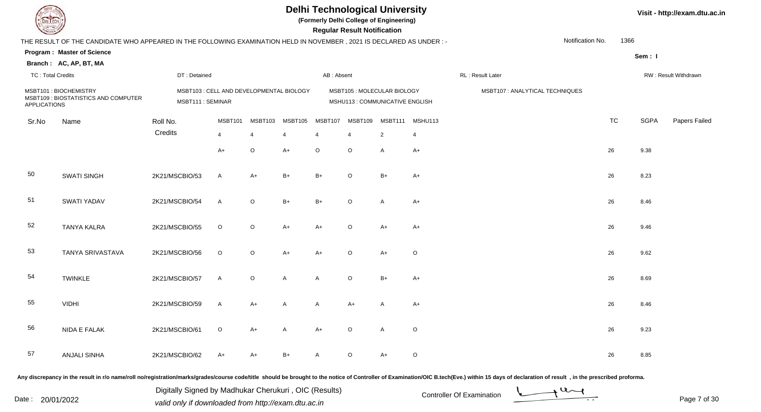|                          |                                                                                                                      |                                                               |                |                |         |              | <b>Regular Result Notification</b> | <b>Delhi Technological University</b><br>(Formerly Delhi College of Engineering) |         |                                 |                  | Visit - http://exam.dtu.ac.in |             |                      |
|--------------------------|----------------------------------------------------------------------------------------------------------------------|---------------------------------------------------------------|----------------|----------------|---------|--------------|------------------------------------|----------------------------------------------------------------------------------|---------|---------------------------------|------------------|-------------------------------|-------------|----------------------|
|                          | THE RESULT OF THE CANDIDATE WHO APPEARED IN THE FOLLOWING EXAMINATION HELD IN NOVEMBER, 2021 IS DECLARED AS UNDER :- |                                                               |                |                |         |              |                                    |                                                                                  |         |                                 | Notification No. | 1366                          |             |                      |
|                          | <b>Program: Master of Science</b>                                                                                    |                                                               |                |                |         |              |                                    |                                                                                  |         |                                 |                  |                               | Sem: I      |                      |
|                          | Branch: AC, AP, BT, MA                                                                                               |                                                               |                |                |         |              |                                    |                                                                                  |         |                                 |                  |                               |             |                      |
| <b>TC: Total Credits</b> |                                                                                                                      | DT: Detained                                                  |                |                |         | AB: Absent   |                                    |                                                                                  |         | RL: Result Later                |                  |                               |             | RW: Result Withdrawn |
| <b>APPLICATIONS</b>      | MSBT101: BIOCHEMISTRY<br>MSBT109 : BIOSTATISTICS AND COMPUTER                                                        | MSBT103 : CELL AND DEVELOPMENTAL BIOLOGY<br>MSBT111 : SEMINAR |                |                |         |              |                                    | MSBT105: MOLECULAR BIOLOGY<br>MSHU113 : COMMUNICATIVE ENGLISH                    |         | MSBT107 : ANALYTICAL TECHNIQUES |                  |                               |             |                      |
| Sr.No                    | Name                                                                                                                 | Roll No.                                                      | MSBT101        | MSBT103        | MSBT105 | MSBT107      | MSBT109                            | MSBT111                                                                          | MSHU113 |                                 |                  | <b>TC</b>                     | <b>SGPA</b> | Papers Failed        |
|                          |                                                                                                                      | Credits                                                       | $\overline{4}$ | $\overline{4}$ |         | 4            | $\overline{4}$                     | $\overline{2}$                                                                   | 4       |                                 |                  |                               |             |                      |
|                          |                                                                                                                      |                                                               | A+             | $\circ$        | $A+$    | $\circ$      | $\circ$                            | $\overline{A}$                                                                   | $A+$    |                                 |                  | 26                            | 9.38        |                      |
| 50                       | <b>SWATI SINGH</b>                                                                                                   | 2K21/MSCBIO/53                                                | A              | $A+$           | $B+$    | $B+$         | $\circ$                            | $B+$                                                                             | A+      |                                 |                  | 26                            | 8.23        |                      |
| 51                       | SWATI YADAV                                                                                                          | 2K21/MSCBIO/54                                                | $\mathsf{A}$   | $\circ$        | $B+$    | $B+$         | $\circ$                            | $\overline{A}$                                                                   | $A+$    |                                 |                  | 26                            | 8.46        |                      |
| 52                       | <b>TANYA KALRA</b>                                                                                                   | 2K21/MSCBIO/55                                                | $\circ$        | $\circ$        | $A+$    | $A+$         | $\circ$                            | $A+$                                                                             | $A+$    |                                 |                  | 26                            | 9.46        |                      |
| 53                       | TANYA SRIVASTAVA                                                                                                     | 2K21/MSCBIO/56                                                | $\circ$        | $\circ$        | $A+$    | $A+$         | $\circ$                            | $A+$                                                                             | $\circ$ |                                 |                  | 26                            | 9.62        |                      |
| 54                       | <b>TWINKLE</b>                                                                                                       | 2K21/MSCBIO/57                                                | A              | $\mathsf O$    | A       | $\mathsf{A}$ | $\circ$                            | $B+$                                                                             | $A+$    |                                 |                  | 26                            | 8.69        |                      |
| 55                       | <b>VIDHI</b>                                                                                                         | 2K21/MSCBIO/59                                                | A              | $A+$           | A       | A            | A+                                 | A                                                                                | $A+$    |                                 |                  | 26                            | 8.46        |                      |
| 56                       | NIDA E FALAK                                                                                                         | 2K21/MSCBIO/61                                                | $\circ$        | $A+$           | A       | $A+$         | $\circ$                            | $\mathsf{A}$                                                                     | $\circ$ |                                 |                  | 26                            | 9.23        |                      |
| 57                       | <b>ANJALI SINHA</b>                                                                                                  | 2K21/MSCBIO/62                                                | A+             | $A+$           | B+      | A            | $\circ$                            | $A+$                                                                             | $\circ$ |                                 |                  | 26                            | 8.85        |                      |
|                          |                                                                                                                      |                                                               |                |                |         |              |                                    |                                                                                  |         |                                 |                  |                               |             |                      |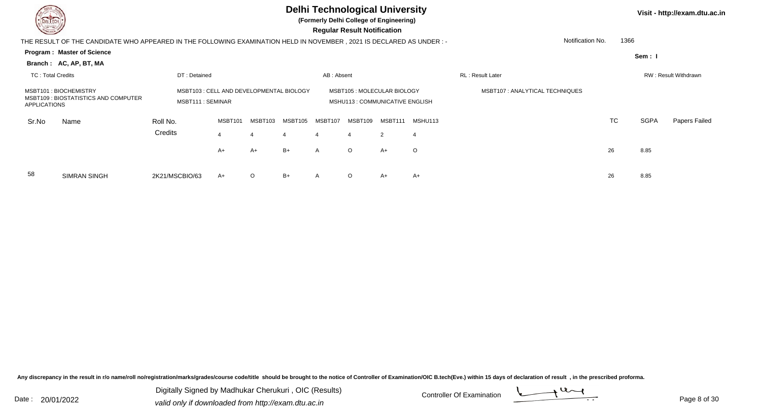| $\sim$                   |                                                                                                                       |                                                               |         |         |         |              | <b>Delhi Technological University</b><br>(Formerly Delhi College of Engineering)<br><b>Regular Result Notification</b> |         |                |                                |                  |      |             | Visit - http://exam.dtu.ac.in |
|--------------------------|-----------------------------------------------------------------------------------------------------------------------|---------------------------------------------------------------|---------|---------|---------|--------------|------------------------------------------------------------------------------------------------------------------------|---------|----------------|--------------------------------|------------------|------|-------------|-------------------------------|
|                          | THE RESULT OF THE CANDIDATE WHO APPEARED IN THE FOLLOWING EXAMINATION HELD IN NOVEMBER , 2021 IS DECLARED AS UNDER :- |                                                               |         |         |         |              |                                                                                                                        |         |                |                                | Notification No. | 1366 |             |                               |
|                          | <b>Program: Master of Science</b><br>Branch: AC, AP, BT, MA                                                           |                                                               |         |         |         |              |                                                                                                                        |         |                |                                |                  |      | Sem: I      |                               |
| <b>TC: Total Credits</b> |                                                                                                                       | DT: Detained                                                  |         |         |         | AB: Absent   |                                                                                                                        |         |                | <b>RL: Result Later</b>        |                  |      |             | RW: Result Withdrawn          |
| <b>APPLICATIONS</b>      | MSBT101: BIOCHEMISTRY<br>MSBT109 : BIOSTATISTICS AND COMPUTER                                                         | MSBT103 : CELL AND DEVELOPMENTAL BIOLOGY<br>MSBT111 : SEMINAR |         |         |         |              | MSBT105 : MOLECULAR BIOLOGY<br>MSHU113 : COMMUNICATIVE ENGLISH                                                         |         |                | MSBT107: ANALYTICAL TECHNIQUES |                  |      |             |                               |
| Sr.No                    | Name                                                                                                                  | Roll No.                                                      | MSBT101 | MSBT103 | MSBT105 | MSBT107      | MSBT109                                                                                                                | MSBT111 | MSHU113        |                                |                  | TC   | <b>SGPA</b> | Papers Failed                 |
|                          |                                                                                                                       | Credits                                                       |         | 4       |         | 4            |                                                                                                                        | 2       | $\overline{4}$ |                                |                  |      |             |                               |
|                          |                                                                                                                       |                                                               | $A+$    | A+      | $B+$    | $\mathsf{A}$ | $\circ$                                                                                                                | $A+$    | $\circ$        |                                |                  | 26   | 8.85        |                               |
| 58                       | <b>SIMRAN SINGH</b>                                                                                                   | 2K21/MSCBIO/63                                                | A+      | $\circ$ | $B+$    | A            | $\circ$                                                                                                                | $A+$    | $A+$           |                                |                  | 26   | 8.85        |                               |

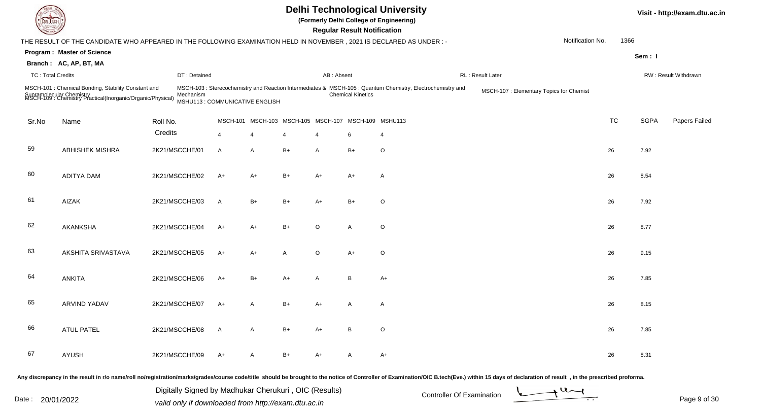**(Formerly Delhi College of Engineering)**

 **Regular Result Notification**

**Visit - http://exam.dtu.ac.in**

|                     |                                                                                         |                                                                                                                                               |                                                                                                                                                                                                                    |                          |      |                                 |                |                                        |                                                                                                                                                                              | Notification No.                                                                                                                | 1366                                     |                                                    |                      |
|---------------------|-----------------------------------------------------------------------------------------|-----------------------------------------------------------------------------------------------------------------------------------------------|--------------------------------------------------------------------------------------------------------------------------------------------------------------------------------------------------------------------|--------------------------|------|---------------------------------|----------------|----------------------------------------|------------------------------------------------------------------------------------------------------------------------------------------------------------------------------|---------------------------------------------------------------------------------------------------------------------------------|------------------------------------------|----------------------------------------------------|----------------------|
|                     |                                                                                         |                                                                                                                                               |                                                                                                                                                                                                                    |                          |      |                                 |                |                                        |                                                                                                                                                                              |                                                                                                                                 |                                          |                                                    |                      |
|                     |                                                                                         |                                                                                                                                               |                                                                                                                                                                                                                    |                          |      |                                 |                |                                        |                                                                                                                                                                              |                                                                                                                                 |                                          |                                                    |                      |
|                     |                                                                                         |                                                                                                                                               |                                                                                                                                                                                                                    |                          |      |                                 |                |                                        |                                                                                                                                                                              |                                                                                                                                 |                                          |                                                    | RW: Result Withdrawn |
|                     |                                                                                         |                                                                                                                                               |                                                                                                                                                                                                                    |                          |      |                                 |                |                                        |                                                                                                                                                                              |                                                                                                                                 |                                          |                                                    |                      |
| Name                |                                                                                         |                                                                                                                                               |                                                                                                                                                                                                                    |                          |      |                                 |                |                                        |                                                                                                                                                                              |                                                                                                                                 | <b>TC</b>                                | <b>SGPA</b>                                        | Papers Failed        |
|                     |                                                                                         |                                                                                                                                               | $\overline{4}$                                                                                                                                                                                                     | $\boldsymbol{\varDelta}$ | 4    | 4                               | 6              | $\overline{4}$                         |                                                                                                                                                                              |                                                                                                                                 |                                          |                                                    |                      |
| ABHISHEK MISHRA     |                                                                                         |                                                                                                                                               | A                                                                                                                                                                                                                  | A                        | $B+$ | A                               | $B+$           | $\circ$                                |                                                                                                                                                                              |                                                                                                                                 |                                          | 7.92                                               |                      |
| ADITYA DAM          |                                                                                         |                                                                                                                                               | $A+$                                                                                                                                                                                                               | $A+$                     | $B+$ | $A+$                            | $A+$           | $\mathsf{A}$                           |                                                                                                                                                                              |                                                                                                                                 |                                          | 8.54                                               |                      |
| <b>AIZAK</b>        |                                                                                         |                                                                                                                                               | A                                                                                                                                                                                                                  | $B+$                     | $B+$ | $A+$                            | $B+$           | $\circ$                                |                                                                                                                                                                              |                                                                                                                                 |                                          | 7.92                                               |                      |
| <b>AKANKSHA</b>     |                                                                                         |                                                                                                                                               | $A+$                                                                                                                                                                                                               | $A+$                     | $B+$ | $\circ$                         | Α              | $\circ$                                |                                                                                                                                                                              |                                                                                                                                 |                                          | 8.77                                               |                      |
| AKSHITA SRIVASTAVA  |                                                                                         |                                                                                                                                               | $A+$                                                                                                                                                                                                               | $A+$                     | A    | $\circ$                         | $A+$           | $\circ$                                |                                                                                                                                                                              |                                                                                                                                 |                                          | 9.15                                               |                      |
| <b>ANKITA</b>       |                                                                                         |                                                                                                                                               | $A+$                                                                                                                                                                                                               | $B+$                     | $A+$ | A                               | B              | $A+$                                   |                                                                                                                                                                              |                                                                                                                                 |                                          | 7.85                                               |                      |
| <b>ARVIND YADAV</b> |                                                                                         |                                                                                                                                               | $A+$                                                                                                                                                                                                               | $\mathsf{A}$             | $B+$ | $A+$                            | $\overline{A}$ | $\mathsf{A}$                           |                                                                                                                                                                              |                                                                                                                                 |                                          | 8.15                                               |                      |
| <b>ATUL PATEL</b>   |                                                                                         |                                                                                                                                               | A                                                                                                                                                                                                                  | $\mathsf{A}$             | $B+$ | $A+$                            | B              | $\circ$                                |                                                                                                                                                                              |                                                                                                                                 |                                          | 7.85                                               |                      |
| <b>AYUSH</b>        |                                                                                         |                                                                                                                                               | $A+$                                                                                                                                                                                                               | A                        | $B+$ | A+                              | A              | $A+$                                   |                                                                                                                                                                              |                                                                                                                                 |                                          | 8.31                                               |                      |
|                     | <b>Program: Master of Science</b><br>Branch: AC, AP, BT, MA<br><b>TC: Total Credits</b> | MSCH-101 : Chemical Bonding, Stability Constant and<br>Supramolecular Chemistry<br>MSCH-109 : Chemistry Practical(Inorganic/Organic/Physical) | DT: Detained<br>Mechanism<br>Roll No.<br>Credits<br>2K21/MSCCHE/01<br>2K21/MSCCHE/02<br>2K21/MSCCHE/03<br>2K21/MSCCHE/04<br>2K21/MSCCHE/05<br>2K21/MSCCHE/06<br>2K21/MSCCHE/07<br>2K21/MSCCHE/08<br>2K21/MSCCHE/09 |                          |      | MSHU113 : COMMUNICATIVE ENGLISH |                | AB: Absent<br><b>Chemical Kinetics</b> | THE RESULT OF THE CANDIDATE WHO APPEARED IN THE FOLLOWING EXAMINATION HELD IN NOVEMBER, 2021 IS DECLARED AS UNDER :-<br>MSCH-101 MSCH-103 MSCH-105 MSCH-107 MSCH-109 MSHU113 | RL: Result Later<br>MSCH-103 : Sterecochemistry and Reaction Intermediates & MSCH-105 : Quantum Chemistry, Electrochemistry and | MSCH-107 : Elementary Topics for Chemist | 26<br>26<br>26<br>26<br>26<br>26<br>26<br>26<br>26 | Sem: I               |

Any discrepancy in the result in r/o name/roll no/registration/marks/grades/course code/title should be brought to the notice of Controller of Examination/OIC B.tech(Eve.) within 15 days of declaration of result, in the pr

Date : 20/01/2022 Valid only if downloaded from http://exam.dtu.ac.in<br>Valid only if downloaded from http://exam.dtu.ac.in

Digitally Signed by Madhukar Cherukuri , OIC (Results)

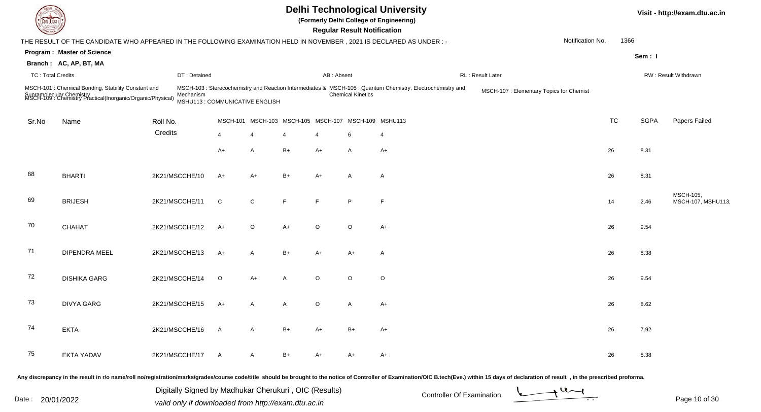| DEL ECH                  |                                                                                                                                               |                |                                              |              |                                                      |      |                | <b>Regular Result Notification</b> | <b>Delhi Technological University</b><br>(Formerly Delhi College of Engineering)                            |                                                                                                                                                                                                                                |                  |           |             | Visit - http://exam.dtu.ac.in   |
|--------------------------|-----------------------------------------------------------------------------------------------------------------------------------------------|----------------|----------------------------------------------|--------------|------------------------------------------------------|------|----------------|------------------------------------|-------------------------------------------------------------------------------------------------------------|--------------------------------------------------------------------------------------------------------------------------------------------------------------------------------------------------------------------------------|------------------|-----------|-------------|---------------------------------|
|                          | THE RESULT OF THE CANDIDATE WHO APPEARED IN THE FOLLOWING EXAMINATION HELD IN NOVEMBER, 2021 IS DECLARED AS UNDER :-                          |                |                                              |              |                                                      |      |                |                                    |                                                                                                             |                                                                                                                                                                                                                                | Notification No. | 1366      |             |                                 |
|                          | <b>Program: Master of Science</b>                                                                                                             |                |                                              |              |                                                      |      |                |                                    |                                                                                                             |                                                                                                                                                                                                                                |                  |           | Sem: I      |                                 |
|                          | Branch: AC, AP, BT, MA                                                                                                                        |                |                                              |              |                                                      |      |                |                                    |                                                                                                             |                                                                                                                                                                                                                                |                  |           |             |                                 |
| <b>TC: Total Credits</b> |                                                                                                                                               |                | DT: Detained                                 |              |                                                      |      | AB: Absent     |                                    |                                                                                                             | RL: Result Later                                                                                                                                                                                                               |                  |           |             | RW: Result Withdrawn            |
|                          | MSCH-101 : Chemical Bonding, Stability Constant and<br>Supramolecular Chemistry<br>MSCH-109 : Chemistry Practical(Inorganic/Organic/Physical) |                | Mechanism<br>MSHU113 : COMMUNICATIVE ENGLISH |              |                                                      |      |                | <b>Chemical Kinetics</b>           | MSCH-103 : Sterecochemistry and Reaction Intermediates & MSCH-105 : Quantum Chemistry, Electrochemistry and | MSCH-107 : Elementary Topics for Chemist                                                                                                                                                                                       |                  |           |             |                                 |
| Sr.No                    | Name                                                                                                                                          | Roll No.       |                                              |              | MSCH-101 MSCH-103 MSCH-105 MSCH-107 MSCH-109 MSHU113 |      |                |                                    |                                                                                                             |                                                                                                                                                                                                                                |                  | <b>TC</b> | <b>SGPA</b> | Papers Failed                   |
|                          |                                                                                                                                               | Credits        |                                              | 4            | $\overline{4}$                                       | 4    | $\overline{4}$ | 6                                  | $\overline{4}$                                                                                              |                                                                                                                                                                                                                                |                  |           |             |                                 |
|                          |                                                                                                                                               |                |                                              | A+           | A                                                    | $B+$ | $A+$           | A                                  | $A+$                                                                                                        |                                                                                                                                                                                                                                |                  | 26        | 8.31        |                                 |
| 68                       | <b>BHARTI</b>                                                                                                                                 | 2K21/MSCCHE/10 |                                              | A+           | $A+$                                                 | $B+$ | $A+$           | A                                  | A                                                                                                           |                                                                                                                                                                                                                                |                  | 26        | 8.31        |                                 |
| 69                       | <b>BRIJESH</b>                                                                                                                                | 2K21/MSCCHE/11 |                                              | C            | ${\bf C}$                                            | F    | F              | P                                  | F                                                                                                           |                                                                                                                                                                                                                                |                  | 14        | 2.46        | MSCH-105,<br>MSCH-107, MSHU113, |
| 70                       | CHAHAT                                                                                                                                        | 2K21/MSCCHE/12 |                                              | A+           | $\circ$                                              | $A+$ | $\circ$        | $\circ$                            | A+                                                                                                          |                                                                                                                                                                                                                                |                  | 26        | 9.54        |                                 |
| 71                       | DIPENDRA MEEL                                                                                                                                 | 2K21/MSCCHE/13 |                                              | A+           | $\mathsf{A}$                                         | $B+$ | $A+$           | $A+$                               | $\mathsf{A}$                                                                                                |                                                                                                                                                                                                                                |                  | 26        | 8.38        |                                 |
| 72                       | <b>DISHIKA GARG</b>                                                                                                                           | 2K21/MSCCHE/14 |                                              | $\circ$      | $A+$                                                 | A    | $\circ$        | $\circ$                            | $\circ$                                                                                                     |                                                                                                                                                                                                                                |                  | 26        | 9.54        |                                 |
| 73                       | <b>DIVYA GARG</b>                                                                                                                             | 2K21/MSCCHE/15 |                                              | A+           | A                                                    | A    | $\circ$        | A                                  | $A+$                                                                                                        |                                                                                                                                                                                                                                |                  | 26        | 8.62        |                                 |
| 74                       | <b>EKTA</b>                                                                                                                                   | 2K21/MSCCHE/16 |                                              | $\mathsf{A}$ | $\mathsf{A}$                                         | B+   | A+             | B+                                 | A+                                                                                                          |                                                                                                                                                                                                                                |                  | 26        | 7.92        |                                 |
| 75                       | <b>EKTA YADAV</b>                                                                                                                             | 2K21/MSCCHE/17 |                                              | $\mathsf{A}$ | A                                                    | B+   | A+             | A+                                 | $A+$                                                                                                        |                                                                                                                                                                                                                                |                  | 26        | 8.38        |                                 |
|                          |                                                                                                                                               |                |                                              |              |                                                      |      |                |                                    |                                                                                                             | Any discrepancy in the result in r/o name/roll no/registration/marks/grades/course code/title should be brought to the notice of Controller of Examination/OIC B.tech(Eve.) within 15 days of declaration of result , in the p |                  |           |             |                                 |

Date : 20/01/2022 Valid only if downloaded from http://exam.dtu.ac.in<br>Valid only if downloaded from http://exam.dtu.ac.in Digitally Signed by Madhukar Cherukuri , OIC (Results)

Page 10 of 30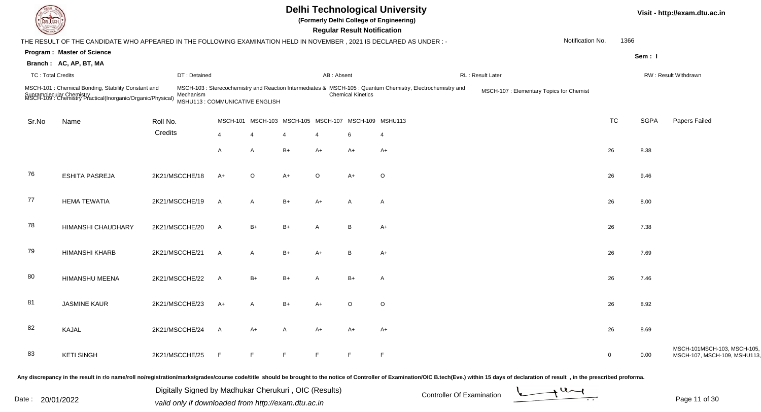|                          |                                                                                                                                               |                |                                |         |                                                      |            | <b>Regular Result Notification</b> | <b>Delhi Technological University</b><br>(Formerly Delhi College of Engineering)                            |                                          |                  |             |             | Visit - http://exam.dtu.ac.in                              |
|--------------------------|-----------------------------------------------------------------------------------------------------------------------------------------------|----------------|--------------------------------|---------|------------------------------------------------------|------------|------------------------------------|-------------------------------------------------------------------------------------------------------------|------------------------------------------|------------------|-------------|-------------|------------------------------------------------------------|
|                          | THE RESULT OF THE CANDIDATE WHO APPEARED IN THE FOLLOWING EXAMINATION HELD IN NOVEMBER, 2021 IS DECLARED AS UNDER :-                          |                |                                |         |                                                      |            |                                    |                                                                                                             |                                          | Notification No. | 1366        |             |                                                            |
|                          | <b>Program: Master of Science</b>                                                                                                             |                |                                |         |                                                      |            |                                    |                                                                                                             |                                          |                  |             | Sem: I      |                                                            |
|                          | Branch: AC, AP, BT, MA                                                                                                                        |                |                                |         |                                                      |            |                                    |                                                                                                             |                                          |                  |             |             |                                                            |
| <b>TC: Total Credits</b> |                                                                                                                                               | DT: Detained   |                                |         |                                                      | AB: Absent |                                    |                                                                                                             | RL: Result Later                         |                  |             |             | RW: Result Withdrawn                                       |
|                          | MSCH-101 : Chemical Bonding, Stability Constant and<br>Supramolecular Chemistry<br>MSCH-109 : Chemistry Practical(Inorganic/Organic/Physical) | Mechanism      | MSHU113: COMMUNICATIVE ENGLISH |         |                                                      |            | <b>Chemical Kinetics</b>           | MSCH-103 : Sterecochemistry and Reaction Intermediates & MSCH-105 : Quantum Chemistry, Electrochemistry and | MSCH-107 : Elementary Topics for Chemist |                  |             |             |                                                            |
| Sr.No                    | Name                                                                                                                                          | Roll No.       |                                |         | MSCH-101 MSCH-103 MSCH-105 MSCH-107 MSCH-109 MSHU113 |            |                                    |                                                                                                             |                                          |                  | <b>TC</b>   | <b>SGPA</b> | Papers Failed                                              |
|                          |                                                                                                                                               | Credits        | $\overline{4}$                 | 4       | 4                                                    |            | 6                                  | $\overline{4}$                                                                                              |                                          |                  |             |             |                                                            |
|                          |                                                                                                                                               |                | A                              | A       | $B+$                                                 | $A+$       | $A+$                               | A+                                                                                                          |                                          |                  | 26          | 8.38        |                                                            |
| 76                       | <b>ESHITA PASREJA</b>                                                                                                                         | 2K21/MSCCHE/18 | A+                             | $\circ$ | $A+$                                                 | $\circ$    | $A+$                               | $\circ$                                                                                                     |                                          |                  | 26          | 9.46        |                                                            |
| 77                       | <b>HEMA TEWATIA</b>                                                                                                                           | 2K21/MSCCHE/19 | A                              | A       | $B+$                                                 | $A+$       | $\mathsf{A}$                       | A                                                                                                           |                                          |                  | 26          | 8.00        |                                                            |
| 78                       | HIMANSHI CHAUDHARY                                                                                                                            | 2K21/MSCCHE/20 | A                              | $B+$    | $B+$                                                 | A          | B                                  | $A+$                                                                                                        |                                          |                  | 26          | 7.38        |                                                            |
| 79                       | <b>HIMANSHI KHARB</b>                                                                                                                         | 2K21/MSCCHE/21 | A                              | A       | $B+$                                                 | $A+$       | B                                  | $A+$                                                                                                        |                                          |                  | 26          | 7.69        |                                                            |
| 80                       | HIMANSHU MEENA                                                                                                                                | 2K21/MSCCHE/22 | A                              | $B+$    | $B+$                                                 | A          | $B+$                               | Α                                                                                                           |                                          |                  | 26          | 7.46        |                                                            |
| 81                       | <b>JASMINE KAUR</b>                                                                                                                           | 2K21/MSCCHE/23 | A+                             |         | $B+$                                                 | A+         | $\circ$                            | $\mathsf O$                                                                                                 |                                          |                  | 26          | 8.92        |                                                            |
| 82                       | KAJAL                                                                                                                                         | 2K21/MSCCHE/24 | A                              | A+      | $\mathsf{A}$                                         | $A+$       | A+                                 | A+                                                                                                          |                                          |                  | 26          | 8.69        |                                                            |
| 83                       | <b>KETI SINGH</b>                                                                                                                             | 2K21/MSCCHE/25 | F.                             | F.      | F.                                                   | F          | F                                  | F                                                                                                           |                                          |                  | $\mathbf 0$ | 0.00        | MSCH-101MSCH-103, MSCH-105,<br>MSCH-107, MSCH-109, MSHU113 |

Digitally Signed by Madhukar Cherukuri, OIC (Results)<br>Date : 20/01/2022 valid only if downloaded from http://oxam.dtu.ac.in Digitally Signed by Madhukar Cherukuri , OIC (Results)valid only if downloaded from http://exam.dtu.ac.in

Page 11 of 30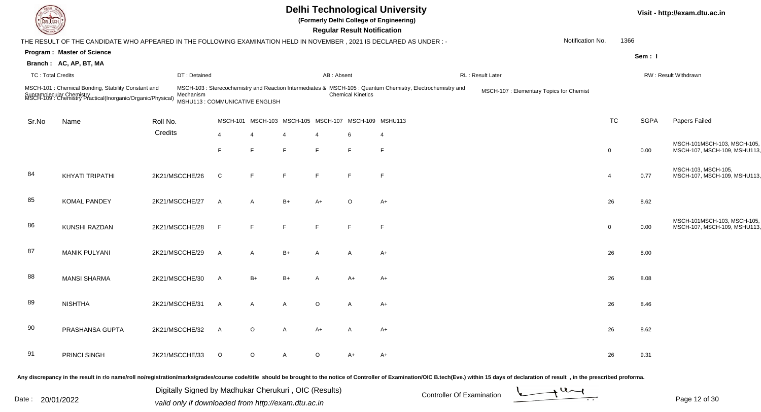| DEL ECH                  |                                                                                                                                                                                                                                |                                                       |              |                                                      |      |              | <b>Regular Result Notification</b> | <b>Delhi Technological University</b><br>(Formerly Delhi College of Engineering)                            |                  |                                          |                  |             | Visit - http://exam.dtu.ac.in                              |
|--------------------------|--------------------------------------------------------------------------------------------------------------------------------------------------------------------------------------------------------------------------------|-------------------------------------------------------|--------------|------------------------------------------------------|------|--------------|------------------------------------|-------------------------------------------------------------------------------------------------------------|------------------|------------------------------------------|------------------|-------------|------------------------------------------------------------|
|                          | THE RESULT OF THE CANDIDATE WHO APPEARED IN THE FOLLOWING EXAMINATION HELD IN NOVEMBER, 2021 IS DECLARED AS UNDER :-                                                                                                           |                                                       |              |                                                      |      |              |                                    |                                                                                                             |                  |                                          | Notification No. | 1366        |                                                            |
|                          | <b>Program: Master of Science</b>                                                                                                                                                                                              |                                                       |              |                                                      |      |              |                                    |                                                                                                             |                  |                                          |                  | Sem: I      |                                                            |
|                          | Branch: AC, AP, BT, MA                                                                                                                                                                                                         |                                                       |              |                                                      |      |              |                                    |                                                                                                             |                  |                                          |                  |             |                                                            |
| <b>TC: Total Credits</b> |                                                                                                                                                                                                                                | DT: Detained                                          |              |                                                      |      | AB: Absent   |                                    |                                                                                                             | RL: Result Later |                                          |                  |             | RW: Result Withdrawn                                       |
|                          | MSCH-101 : Chemical Bonding, Stability Constant and<br>Supramolecular Chemistry<br>MSCH-109 : Chemistry Practical(Inorganic/Organic/Physical)                                                                                  | Mechanism<br>MSHU113 : COMMUNICATIVE ENGLISH          |              |                                                      |      |              | <b>Chemical Kinetics</b>           | MSCH-103 : Sterecochemistry and Reaction Intermediates & MSCH-105 : Quantum Chemistry, Electrochemistry and |                  | MSCH-107 : Elementary Topics for Chemist |                  |             |                                                            |
| Sr.No                    | Name                                                                                                                                                                                                                           | Roll No.                                              |              | MSCH-101 MSCH-103 MSCH-105 MSCH-107 MSCH-109 MSHU113 |      |              |                                    |                                                                                                             |                  |                                          | TC               | <b>SGPA</b> | Papers Failed                                              |
|                          |                                                                                                                                                                                                                                | Credits                                               | 4            |                                                      |      |              |                                    | $\overline{4}$                                                                                              |                  |                                          |                  |             |                                                            |
|                          |                                                                                                                                                                                                                                |                                                       | F            | F                                                    | F    | E            | F                                  | F                                                                                                           |                  |                                          | $\Omega$         | 0.00        | MSCH-101MSCH-103, MSCH-105,<br>MSCH-107, MSCH-109, MSHU113 |
| 84                       | KHYATI TRIPATHI                                                                                                                                                                                                                | 2K21/MSCCHE/26                                        | C            | F                                                    | F    | E            | F                                  | F                                                                                                           |                  |                                          | $\overline{4}$   | 0.77        | MSCH-103, MSCH-105,<br>MSCH-107, MSCH-109, MSHU113         |
| 85                       | <b>KOMAL PANDEY</b>                                                                                                                                                                                                            | 2K21/MSCCHE/27                                        | $\mathsf{A}$ | A                                                    | $B+$ | $A+$         | $\circ$                            | A+                                                                                                          |                  |                                          | 26               | 8.62        |                                                            |
| 86                       | KUNSHI RAZDAN                                                                                                                                                                                                                  | 2K21/MSCCHE/28                                        | F            | F                                                    | F    | E            | F                                  | F                                                                                                           |                  |                                          | $\overline{0}$   | 0.00        | MSCH-101MSCH-103, MSCH-105,<br>MSCH-107, MSCH-109, MSHU113 |
| 87                       | <b>MANIK PULYANI</b>                                                                                                                                                                                                           | 2K21/MSCCHE/29                                        | $\mathsf{A}$ | A                                                    | $B+$ | A            | A                                  | A+                                                                                                          |                  |                                          | 26               | 8.00        |                                                            |
| 88                       | <b>MANSI SHARMA</b>                                                                                                                                                                                                            | 2K21/MSCCHE/30                                        | $\mathsf{A}$ | $B+$                                                 | $B+$ | $\mathsf{A}$ | A+                                 | A+                                                                                                          |                  |                                          | 26               | 8.08        |                                                            |
| 89                       | <b>NISHTHA</b>                                                                                                                                                                                                                 | 2K21/MSCCHE/31                                        | A            | A                                                    |      | $\circ$      | A                                  | A+                                                                                                          |                  |                                          | 26               | 8.46        |                                                            |
| 90                       | PRASHANSA GUPTA                                                                                                                                                                                                                | 2K21/MSCCHE/32                                        | A            | $\circ$                                              |      | A+           | A                                  | A+                                                                                                          |                  |                                          | 26               | 8.62        |                                                            |
| 91                       | PRINCI SINGH                                                                                                                                                                                                                   | 2K21/MSCCHE/33                                        | $\circ$      | $\circ$                                              | A    | $\circ$      | $A+$                               | $A+$                                                                                                        |                  |                                          | 26               | 9.31        |                                                            |
|                          | Any discrepancy in the result in r/o name/roll no/registration/marks/grades/course code/title should be brought to the notice of Controller of Examination/OIC B.tech(Eve.) within 15 days of declaration of result , in the p |                                                       |              |                                                      |      |              |                                    |                                                                                                             |                  |                                          |                  |             |                                                            |
|                          |                                                                                                                                                                                                                                | Digitally Signed by Madhukar Cherukuri, OIC (Results) |              |                                                      |      |              |                                    | Controller Of Evamination                                                                                   |                  |                                          | $\rightarrow$ U  |             |                                                            |

Date : 20/01/2022 Valid only if downloaded from http://exam.dtu.ac.in<br>valid only if downloaded from http://exam.dtu.ac.in

Page 12 of 30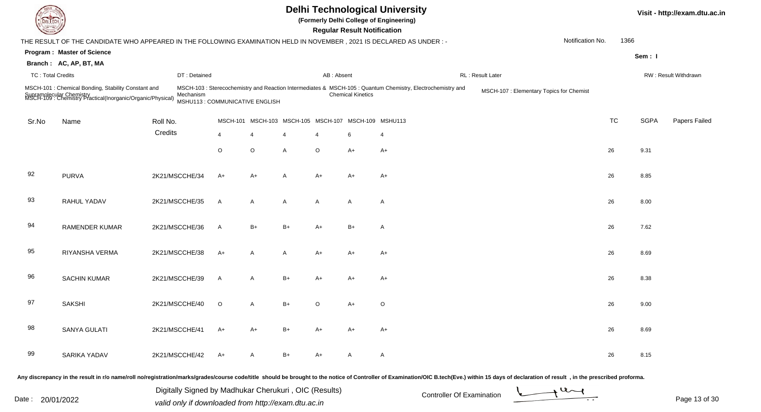|                          |                                                                                                                                               |                |                                 |                |                                             |                | <b>Regular Result Notification</b> | <b>Delhi Technological University</b><br>(Formerly Delhi College of Engineering)                            |                                          |                  |           |             | Visit - http://exam.dtu.ac.in |
|--------------------------|-----------------------------------------------------------------------------------------------------------------------------------------------|----------------|---------------------------------|----------------|---------------------------------------------|----------------|------------------------------------|-------------------------------------------------------------------------------------------------------------|------------------------------------------|------------------|-----------|-------------|-------------------------------|
|                          | THE RESULT OF THE CANDIDATE WHO APPEARED IN THE FOLLOWING EXAMINATION HELD IN NOVEMBER, 2021 IS DECLARED AS UNDER :-                          |                |                                 |                |                                             |                |                                    |                                                                                                             |                                          | Notification No. | 1366      |             |                               |
|                          | <b>Program: Master of Science</b>                                                                                                             |                |                                 |                |                                             |                |                                    |                                                                                                             |                                          |                  |           | Sem: I      |                               |
|                          | Branch: AC, AP, BT, MA                                                                                                                        |                |                                 |                |                                             |                |                                    |                                                                                                             |                                          |                  |           |             |                               |
| <b>TC: Total Credits</b> |                                                                                                                                               | DT: Detained   |                                 |                |                                             | AB: Absent     |                                    |                                                                                                             | RL: Result Later                         |                  |           |             | RW: Result Withdrawn          |
|                          | MSCH-101 : Chemical Bonding, Stability Constant and<br>Supramolecular Chemistry<br>MSCH-109 : Chemistry Practical(Inorganic/Organic/Physical) | Mechanism      | MSHU113 : COMMUNICATIVE ENGLISH |                |                                             |                | <b>Chemical Kinetics</b>           | MSCH-103 : Sterecochemistry and Reaction Intermediates & MSCH-105 : Quantum Chemistry, Electrochemistry and | MSCH-107 : Elementary Topics for Chemist |                  |           |             |                               |
| Sr.No                    | Name                                                                                                                                          | Roll No.       | <b>MSCH-101</b>                 |                | MSCH-103 MSCH-105 MSCH-107 MSCH-109 MSHU113 |                |                                    |                                                                                                             |                                          |                  | <b>TC</b> | <b>SGPA</b> | Papers Failed                 |
|                          |                                                                                                                                               | Credits        | 4                               | $\overline{4}$ |                                             | $\overline{4}$ | 6                                  | $\overline{4}$                                                                                              |                                          |                  |           |             |                               |
|                          |                                                                                                                                               |                | O                               | $\circ$        | A                                           | $\circ$        | A+                                 | $A+$                                                                                                        |                                          |                  | 26        | 9.31        |                               |
| 92                       | <b>PURVA</b>                                                                                                                                  | 2K21/MSCCHE/34 | A+                              | A+             | A                                           | $A+$           | A+                                 | A+                                                                                                          |                                          |                  | 26        | 8.85        |                               |
| 93                       | RAHUL YADAV                                                                                                                                   | 2K21/MSCCHE/35 | A                               | $\mathsf{A}$   | A                                           | A              | A                                  | $\overline{A}$                                                                                              |                                          |                  | 26        | 8.00        |                               |
| 94                       | <b>RAMENDER KUMAR</b>                                                                                                                         | 2K21/MSCCHE/36 | A                               | $B+$           | $B+$                                        | $A+$           | $B+$                               | $\overline{A}$                                                                                              |                                          |                  | 26        | 7.62        |                               |
| 95                       | RIYANSHA VERMA                                                                                                                                | 2K21/MSCCHE/38 | A+                              | $\mathsf{A}$   | A                                           | $A+$           | A+                                 | $A+$                                                                                                        |                                          |                  | 26        | 8.69        |                               |
| 96                       | <b>SACHIN KUMAR</b>                                                                                                                           | 2K21/MSCCHE/39 | A                               | $\mathsf{A}$   | $B+$                                        | $A+$           | A+                                 | A+                                                                                                          |                                          |                  | 26        | 8.38        |                               |
| 97                       | <b>SAKSHI</b>                                                                                                                                 | 2K21/MSCCHE/40 | $\circ$                         | A              | B+                                          | $\Omega$       | A+                                 | $\circ$                                                                                                     |                                          |                  | 26        | 9.00        |                               |
| 98                       | SANYA GULATI                                                                                                                                  | 2K21/MSCCHE/41 | A+                              | $A+$           | B+                                          | A+             | A+                                 | $A+$                                                                                                        |                                          |                  | 26        | 8.69        |                               |
| 99                       | SARIKA YADAV                                                                                                                                  | 2K21/MSCCHE/42 | A+                              | A              | $B+$                                        | A+             | A                                  | $\mathsf{A}$                                                                                                |                                          |                  | 26        | 8.15        |                               |
|                          |                                                                                                                                               |                |                                 |                |                                             |                |                                    |                                                                                                             |                                          |                  |           |             |                               |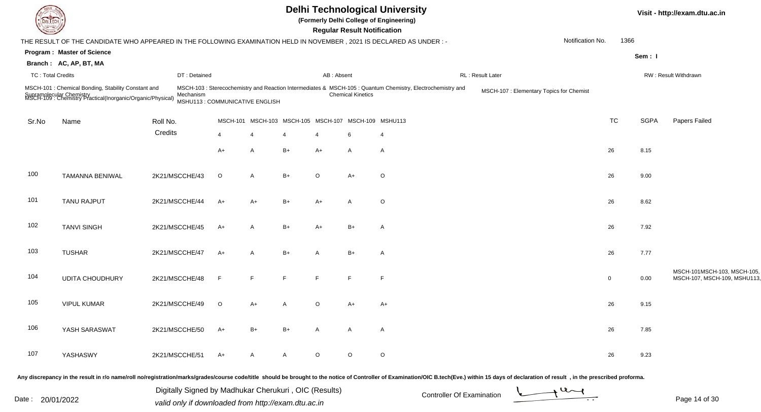| <b>DELTECH</b>           |                                                                                                                                                                                                                                |                                                       |                 |          |              |            | <b>Regular Result Notification</b> | <b>Delhi Technological University</b><br>(Formerly Delhi College of Engineering)                            |                   |                                          |                  |             |             | Visit - http://exam.dtu.ac.in                              |
|--------------------------|--------------------------------------------------------------------------------------------------------------------------------------------------------------------------------------------------------------------------------|-------------------------------------------------------|-----------------|----------|--------------|------------|------------------------------------|-------------------------------------------------------------------------------------------------------------|-------------------|------------------------------------------|------------------|-------------|-------------|------------------------------------------------------------|
|                          | THE RESULT OF THE CANDIDATE WHO APPEARED IN THE FOLLOWING EXAMINATION HELD IN NOVEMBER, 2021 IS DECLARED AS UNDER :-                                                                                                           |                                                       |                 |          |              |            |                                    |                                                                                                             |                   |                                          | Notification No. | 1366        |             |                                                            |
|                          | <b>Program: Master of Science</b>                                                                                                                                                                                              |                                                       |                 |          |              |            |                                    |                                                                                                             |                   |                                          |                  |             | Sem: I      |                                                            |
|                          | Branch: AC, AP, BT, MA                                                                                                                                                                                                         |                                                       |                 |          |              |            |                                    |                                                                                                             |                   |                                          |                  |             |             |                                                            |
| <b>TC: Total Credits</b> |                                                                                                                                                                                                                                | DT: Detained                                          |                 |          |              | AB: Absent |                                    |                                                                                                             | RL : Result Later |                                          |                  |             |             | RW: Result Withdrawn                                       |
|                          | MSCH-101 : Chemical Bonding, Stability Constant and<br>Supramolecular Chemistry<br>MSCH-109 : Chemistry Practical(Inorganic/Organic/Physical)                                                                                  | Mechanism<br>MSHU113 : COMMUNICATIVE ENGLISH          |                 |          |              |            | <b>Chemical Kinetics</b>           | MSCH-103 : Sterecochemistry and Reaction Intermediates & MSCH-105 : Quantum Chemistry, Electrochemistry and |                   | MSCH-107 : Elementary Topics for Chemist |                  |             |             |                                                            |
| Sr.No                    | Name                                                                                                                                                                                                                           | Roll No.                                              | <b>MSCH-101</b> | MSCH-103 |              |            | MSCH-105 MSCH-107 MSCH-109 MSHU113 |                                                                                                             |                   |                                          |                  | <b>TC</b>   | <b>SGPA</b> | Papers Failed                                              |
|                          |                                                                                                                                                                                                                                | Credits                                               | $\overline{4}$  | -4       |              | 4          | 6                                  | 4                                                                                                           |                   |                                          |                  |             |             |                                                            |
|                          |                                                                                                                                                                                                                                |                                                       | $A+$            | A        | $B+$         | $A+$       | $\mathsf{A}$                       | $\mathsf{A}$                                                                                                |                   |                                          |                  | 26          | 8.15        |                                                            |
| 100                      | <b>TAMANNA BENIWAL</b>                                                                                                                                                                                                         | 2K21/MSCCHE/43                                        | $\circ$         | A        | $B+$         | $\circ$    | $A+$                               | $\circ$                                                                                                     |                   |                                          |                  | 26          | 9.00        |                                                            |
| 101                      | TANU RAJPUT                                                                                                                                                                                                                    | 2K21/MSCCHE/44                                        | A+              | A+       | $B+$         | $A+$       | A                                  | $\circ$                                                                                                     |                   |                                          |                  | 26          | 8.62        |                                                            |
| 102                      | <b>TANVI SINGH</b>                                                                                                                                                                                                             | 2K21/MSCCHE/45                                        | $A+$            | A        | $B+$         | $A+$       | $B+$                               | A                                                                                                           |                   |                                          |                  | 26          | 7.92        |                                                            |
| 103                      | <b>TUSHAR</b>                                                                                                                                                                                                                  | 2K21/MSCCHE/47                                        | $A+$            | A        | $B+$         | A          | $B+$                               | $\overline{A}$                                                                                              |                   |                                          |                  | 26          | 7.77        |                                                            |
| 104                      | <b>UDITA CHOUDHURY</b>                                                                                                                                                                                                         | 2K21/MSCCHE/48                                        | F.              | E        | F            | E          | F                                  | F                                                                                                           |                   |                                          |                  | $\mathbf 0$ | 0.00        | MSCH-101MSCH-103, MSCH-105,<br>MSCH-107, MSCH-109, MSHU113 |
| 105                      | <b>VIPUL KUMAR</b>                                                                                                                                                                                                             | 2K21/MSCCHE/49                                        | $\circ$         | A+       |              | O          | A+                                 | A+                                                                                                          |                   |                                          |                  | 26          | 9.15        |                                                            |
| 106                      | YASH SARASWAT                                                                                                                                                                                                                  | 2K21/MSCCHE/50                                        | A+              | $B+$     | $B+$         | A          | A                                  | A                                                                                                           |                   |                                          |                  | 26          | 7.85        |                                                            |
| 107                      | YASHASWY                                                                                                                                                                                                                       | 2K21/MSCCHE/51                                        | A+              | A        | $\mathsf{A}$ | $\circ$    | $\circ$                            | $\circ$                                                                                                     |                   |                                          |                  | 26          | 9.23        |                                                            |
|                          | Any discrepancy in the result in r/o name/roll no/registration/marks/grades/course code/title should be brought to the notice of Controller of Examination/OIC B.tech(Eve.) within 15 days of declaration of result , in the p |                                                       |                 |          |              |            |                                    |                                                                                                             |                   |                                          |                  |             |             |                                                            |
|                          |                                                                                                                                                                                                                                | Digitally Signed by Madhukar Cherukuri, OIC (Results) |                 |          |              |            |                                    | Controller Of Evamination                                                                                   |                   |                                          | $+u$             |             |             |                                                            |

Date : 20/01/2022 Valid only if downloaded from http://exam.dtu.ac.in<br>valid only if downloaded from http://exam.dtu.ac.in

Page 14 of 30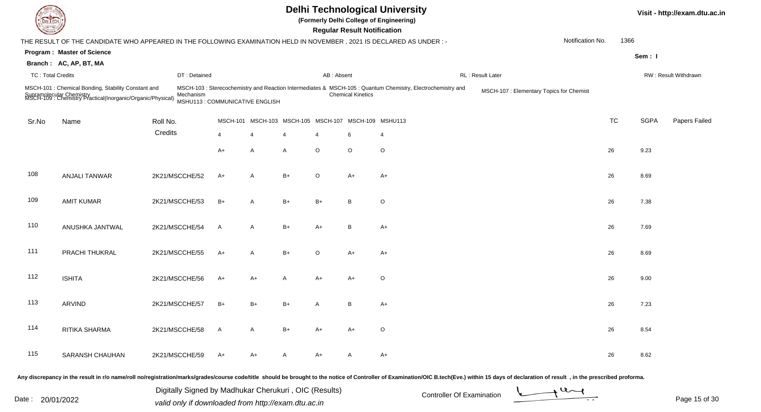|                          |                                                                                                                                               |                                             |                 |                          |                                             | <b>Regular Result Notification</b> |                          | <b>Delhi Technological University</b><br>(Formerly Delhi College of Engineering)                            |                                          |                  |           |             | Visit - http://exam.dtu.ac.in |
|--------------------------|-----------------------------------------------------------------------------------------------------------------------------------------------|---------------------------------------------|-----------------|--------------------------|---------------------------------------------|------------------------------------|--------------------------|-------------------------------------------------------------------------------------------------------------|------------------------------------------|------------------|-----------|-------------|-------------------------------|
|                          | THE RESULT OF THE CANDIDATE WHO APPEARED IN THE FOLLOWING EXAMINATION HELD IN NOVEMBER, 2021 IS DECLARED AS UNDER :-                          |                                             |                 |                          |                                             |                                    |                          |                                                                                                             |                                          | Notification No. | 1366      |             |                               |
|                          | <b>Program: Master of Science</b><br>Branch: AC, AP, BT, MA                                                                                   |                                             |                 |                          |                                             |                                    |                          |                                                                                                             |                                          |                  |           | Sem: I      |                               |
| <b>TC: Total Credits</b> |                                                                                                                                               | DT: Detained                                |                 |                          |                                             | AB: Absent                         |                          |                                                                                                             | RL : Result Later                        |                  |           |             | RW: Result Withdrawn          |
|                          | MSCH-101 : Chemical Bonding, Stability Constant and<br>Supramolecular Chemistry<br>MSCH-109 : Chemistry Practical(Inorganic/Organic/Physical) | Mechanism<br>MSHU113: COMMUNICATIVE ENGLISH |                 |                          |                                             |                                    | <b>Chemical Kinetics</b> | MSCH-103 : Sterecochemistry and Reaction Intermediates & MSCH-105 : Quantum Chemistry, Electrochemistry and | MSCH-107 : Elementary Topics for Chemist |                  |           |             |                               |
| Sr.No                    | Name                                                                                                                                          | Roll No.                                    | <b>MSCH-101</b> |                          | MSCH-103 MSCH-105 MSCH-107 MSCH-109 MSHU113 |                                    |                          |                                                                                                             |                                          |                  | <b>TC</b> | <b>SGPA</b> | Papers Failed                 |
|                          |                                                                                                                                               | Credits                                     | 4               | $\overline{\mathcal{A}}$ |                                             | 4                                  | 6                        | $\overline{4}$                                                                                              |                                          |                  |           |             |                               |
|                          |                                                                                                                                               |                                             | A+              | A                        | A                                           | O                                  | $\circ$                  | $\circ$                                                                                                     |                                          |                  | 26        | 9.23        |                               |
| 108                      | <b>ANJALI TANWAR</b>                                                                                                                          | 2K21/MSCCHE/52                              | A+              | A                        | $B+$                                        | $\circ$                            | $A+$                     | $A+$                                                                                                        |                                          |                  | 26        | 8.69        |                               |
| 109                      | <b>AMIT KUMAR</b>                                                                                                                             | 2K21/MSCCHE/53                              | $B+$            | $\mathsf{A}$             | $B+$                                        | $B+$                               | B                        | $\circ$                                                                                                     |                                          |                  | 26        | 7.38        |                               |
| 110                      | ANUSHKA JANTWAL                                                                                                                               | 2K21/MSCCHE/54                              | A               | $\mathsf{A}$             | $B+$                                        | $A+$                               | B                        | $A+$                                                                                                        |                                          |                  | 26        | 7.69        |                               |
| 111                      | PRACHI THUKRAL                                                                                                                                | 2K21/MSCCHE/55                              | A+              | $\mathsf{A}$             | $B+$                                        | $\circ$                            | $A+$                     | A+                                                                                                          |                                          |                  | 26        | 8.69        |                               |
| 112                      | <b>ISHITA</b>                                                                                                                                 | 2K21/MSCCHE/56                              | A+              | $A+$                     | A                                           | A+                                 | $A+$                     | $\circ$                                                                                                     |                                          |                  | 26        | 9.00        |                               |
| 113                      | ARVIND                                                                                                                                        | 2K21/MSCCHE/57                              | B+              | $B+$                     | B+                                          | A                                  | B                        | A+                                                                                                          |                                          |                  | 26        | 7.23        |                               |
| 114                      | RITIKA SHARMA                                                                                                                                 | 2K21/MSCCHE/58                              | $\mathsf{A}$    | $\mathsf{A}$             | B+                                          | A+                                 | A+                       | $\mathsf O$                                                                                                 |                                          |                  | 26        | 8.54        |                               |
| 115                      | SARANSH CHAUHAN                                                                                                                               | 2K21/MSCCHE/59                              | A+              | $A+$                     | A                                           | A+                                 | A                        | $A+$                                                                                                        |                                          |                  | 26        | 8.62        |                               |

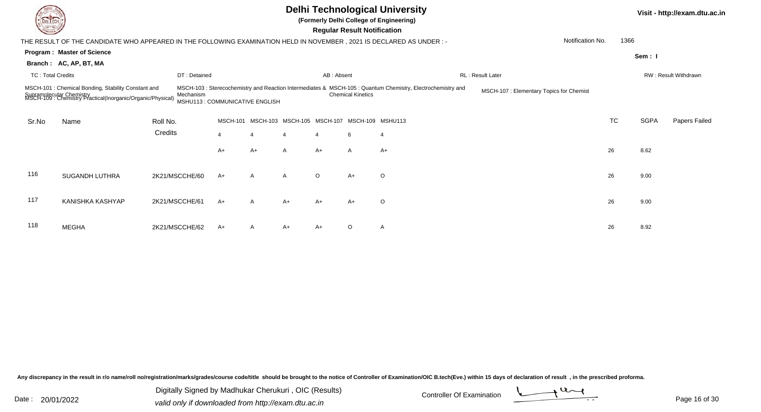|       |                                                                                                                                               |                |                                |              |                                             |                       | <b>Regular Result Notification</b> | <b>Delhi Technological University</b><br>(Formerly Delhi College of Engineering)                            |                                         |                  |      |             | Visit - http://exam.dtu.ac.in |
|-------|-----------------------------------------------------------------------------------------------------------------------------------------------|----------------|--------------------------------|--------------|---------------------------------------------|-----------------------|------------------------------------|-------------------------------------------------------------------------------------------------------------|-----------------------------------------|------------------|------|-------------|-------------------------------|
|       | THE RESULT OF THE CANDIDATE WHO APPEARED IN THE FOLLOWING EXAMINATION HELD IN NOVEMBER , 2021 IS DECLARED AS UNDER : -                        |                |                                |              |                                             |                       |                                    |                                                                                                             |                                         | Notification No. | 1366 |             |                               |
|       | <b>Program: Master of Science</b>                                                                                                             |                |                                |              |                                             |                       |                                    |                                                                                                             |                                         |                  |      | Sem: I      |                               |
|       | Branch: AC, AP, BT, MA                                                                                                                        |                |                                |              |                                             |                       |                                    |                                                                                                             |                                         |                  |      |             |                               |
|       | <b>TC: Total Credits</b>                                                                                                                      | DT: Detained   |                                |              |                                             | AB: Absent            |                                    |                                                                                                             | RL: Result Later                        |                  |      |             | RW: Result Withdrawn          |
|       | MSCH-101 : Chemical Bonding, Stability Constant and<br>Supramolecular Chemistry<br>MSCH-109 : Chemistry Practical(Inorganic/Organic/Physical) | Mechanism      | MSHU113: COMMUNICATIVE ENGLISH |              |                                             |                       | <b>Chemical Kinetics</b>           | MSCH-103 : Sterecochemistry and Reaction Intermediates & MSCH-105 : Quantum Chemistry, Electrochemistry and | MSCH-107: Elementary Topics for Chemist |                  |      |             |                               |
| Sr.No | Name                                                                                                                                          | Roll No.       | <b>MSCH-101</b>                |              | MSCH-103 MSCH-105 MSCH-107 MSCH-109 MSHU113 |                       |                                    |                                                                                                             |                                         | <b>TC</b>        |      | <b>SGPA</b> | Papers Failed                 |
|       |                                                                                                                                               | Credits        |                                |              |                                             | $\boldsymbol{\Delta}$ | 6                                  | $\overline{4}$                                                                                              |                                         |                  |      |             |                               |
|       |                                                                                                                                               |                | A+                             | $A+$         | A                                           | $A+$                  | A                                  | $A+$                                                                                                        |                                         | 26               |      | 8.62        |                               |
| 116   | <b>SUGANDH LUTHRA</b>                                                                                                                         | 2K21/MSCCHE/60 | A+                             | $\mathsf{A}$ | A                                           | $\circ$               | $A+$                               | $\circ$                                                                                                     |                                         | 26               |      | 9.00        |                               |
| 117   | KANISHKA KASHYAP                                                                                                                              | 2K21/MSCCHE/61 | A+                             | A            | $A+$                                        | $A+$                  | $A+$                               | $\circ$                                                                                                     |                                         | 26               |      | 9.00        |                               |
| 118   | <b>MEGHA</b>                                                                                                                                  | 2K21/MSCCHE/62 | A+                             | $\mathsf{A}$ | $A+$                                        | A+                    | O                                  | $\mathsf{A}$                                                                                                |                                         | 26               |      | 8.92        |                               |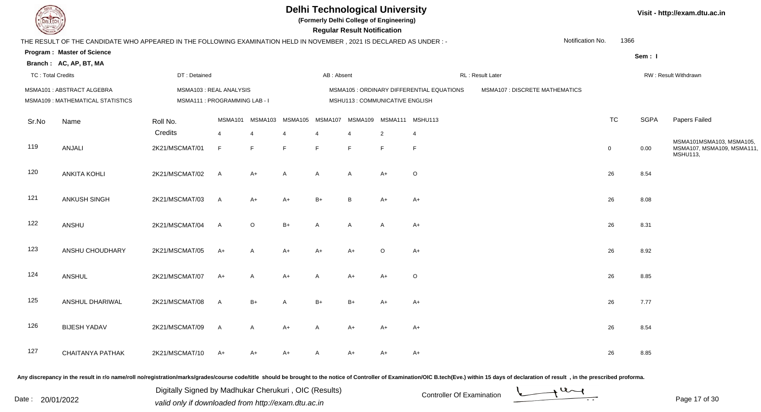

**(Formerly Delhi College of Engineering)**

 **Regular Result Notification**

**Visit - http://exam.dtu.ac.in**

| <b>Course Line</b>       |                                                                                                                       |                                                          |                |                                      |                |            | Regular Result Notification     |                      |                                           |                                |                          |             |                                                                   |
|--------------------------|-----------------------------------------------------------------------------------------------------------------------|----------------------------------------------------------|----------------|--------------------------------------|----------------|------------|---------------------------------|----------------------|-------------------------------------------|--------------------------------|--------------------------|-------------|-------------------------------------------------------------------|
|                          | THE RESULT OF THE CANDIDATE WHO APPEARED IN THE FOLLOWING EXAMINATION HELD IN NOVEMBER, 2021 IS DECLARED AS UNDER : - |                                                          |                |                                      |                |            |                                 |                      |                                           |                                | Notification No.<br>1366 |             |                                                                   |
|                          | <b>Program: Master of Science</b><br>Branch: AC, AP, BT, MA                                                           |                                                          |                |                                      |                |            |                                 |                      |                                           |                                |                          | Sem: I      |                                                                   |
| <b>TC: Total Credits</b> |                                                                                                                       | DT: Detained                                             |                |                                      |                | AB: Absent |                                 |                      |                                           | RL: Result Later               |                          |             | RW: Result Withdrawn                                              |
|                          | MSMA101: ABSTRACT ALGEBRA<br>MSMA109 : MATHEMATICAL STATISTICS                                                        | MSMA103 : REAL ANALYSIS<br>MSMA111 : PROGRAMMING LAB - I |                |                                      |                |            | MSHU113 : COMMUNICATIVE ENGLISH |                      | MSMA105 : ORDINARY DIFFERENTIAL EQUATIONS | MSMA107 : DISCRETE MATHEMATICS |                          |             |                                                                   |
| Sr.No                    | Name                                                                                                                  | Roll No.<br>Credits                                      | $\overline{4}$ | MSMA101 MSMA103 MSMA105 MSMA107<br>4 | $\overline{4}$ | 4          | $\overline{4}$                  | MSMA109 MSMA111<br>2 | MSHU113<br>$\overline{4}$                 |                                | <b>TC</b>                | <b>SGPA</b> | Papers Failed                                                     |
| 119                      | ANJALI                                                                                                                | 2K21/MSCMAT/01                                           | F              | F                                    | E              | F.         | F                               | F                    | F                                         |                                | $\mathbf 0$              | 0.00        | MSMA101MSMA103, MSMA105,<br>MSMA107, MSMA109, MSMA111<br>MSHU113, |
| 120                      | <b>ANKITA KOHLI</b>                                                                                                   | 2K21/MSCMAT/02                                           | <b>A</b>       | $A+$                                 | $\mathsf{A}$   | A          | A                               | $A+$                 | $\circ$                                   |                                | 26                       | 8.54        |                                                                   |
| 121                      | ANKUSH SINGH                                                                                                          | 2K21/MSCMAT/03                                           | $\mathsf{A}$   | $A+$                                 | $A+$           | $B+$       | B                               | $A+$                 | $A+$                                      |                                | 26                       | 8.08        |                                                                   |
| 122                      | ANSHU                                                                                                                 | 2K21/MSCMAT/04                                           | $\mathsf{A}$   | $\circ$                              | $B+$           | A          | $\overline{A}$                  | $\mathsf{A}$         | $A+$                                      |                                | 26                       | 8.31        |                                                                   |
| 123                      | ANSHU CHOUDHARY                                                                                                       | 2K21/MSCMAT/05                                           | $A+$           | $\overline{A}$                       | $A+$           | $A+$       | $A+$                            | $\circ$              | $A+$                                      |                                | 26                       | 8.92        |                                                                   |
| 124                      | <b>ANSHUL</b>                                                                                                         | 2K21/MSCMAT/07                                           | $A+$           | $\mathsf{A}$                         | $A+$           | A          | $A+$                            | $A+$                 | $\circ$                                   |                                | 26                       | 8.85        |                                                                   |
| 125                      | ANSHUL DHARIWAL                                                                                                       | 2K21/MSCMAT/08                                           | $\mathsf{A}$   | $B+$                                 | $\overline{A}$ | $B+$       | $B+$                            | $A+$                 | $A+$                                      |                                | 26                       | 7.77        |                                                                   |
| 126                      | <b>BIJESH YADAV</b>                                                                                                   | 2K21/MSCMAT/09                                           | $\mathsf{A}$   | $\mathsf{A}$                         | $A+$           | A          | $A+$                            | A+                   | $A+$                                      |                                | 26                       | 8.54        |                                                                   |
| 127                      | <b>CHAITANYA PATHAK</b>                                                                                               | 2K21/MSCMAT/10                                           | $A+$           | $A+$                                 | A+             | A          | A+                              | $A+$                 | A+                                        |                                | 26                       | 8.85        |                                                                   |
|                          |                                                                                                                       |                                                          |                |                                      |                |            |                                 |                      |                                           |                                |                          |             |                                                                   |

Any discrepancy in the result in r/o name/roll no/registration/marks/grades/course code/title should be brought to the notice of Controller of Examination/OIC B.tech(Eve.) within 15 days of declaration of result, in the pr

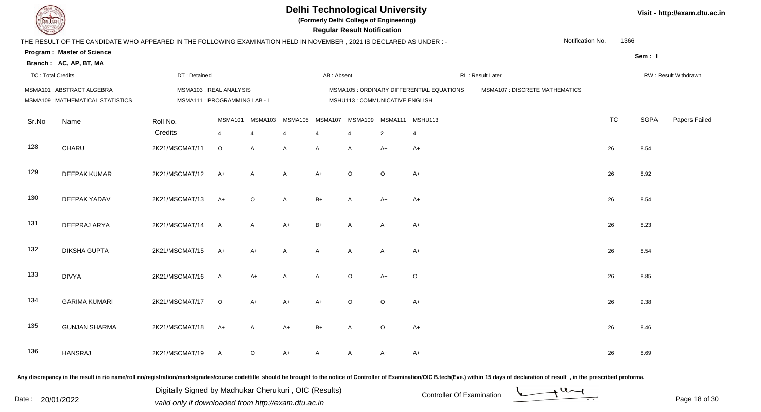

**(Formerly Delhi College of Engineering)**

 **Regular Result Notification**

| <b>Country</b>           |                                                                                                                      |                                                         |                           |                           |                           |              | <b>Regular Result Notification</b> |                                           |                                           |                                |                  |           |             |                      |
|--------------------------|----------------------------------------------------------------------------------------------------------------------|---------------------------------------------------------|---------------------------|---------------------------|---------------------------|--------------|------------------------------------|-------------------------------------------|-------------------------------------------|--------------------------------|------------------|-----------|-------------|----------------------|
|                          | THE RESULT OF THE CANDIDATE WHO APPEARED IN THE FOLLOWING EXAMINATION HELD IN NOVEMBER, 2021 IS DECLARED AS UNDER :- |                                                         |                           |                           |                           |              |                                    |                                           |                                           |                                | Notification No. | 1366      |             |                      |
|                          | <b>Program: Master of Science</b>                                                                                    |                                                         |                           |                           |                           |              |                                    |                                           |                                           |                                |                  |           | Sem: I      |                      |
|                          | Branch: AC, AP, BT, MA                                                                                               |                                                         |                           |                           |                           |              |                                    |                                           |                                           |                                |                  |           |             |                      |
| <b>TC: Total Credits</b> |                                                                                                                      | DT: Detained                                            |                           |                           |                           | AB: Absent   |                                    |                                           |                                           | RL: Result Later               |                  |           |             | RW: Result Withdrawn |
|                          | MSMA101: ABSTRACT ALGEBRA<br>MSMA109: MATHEMATICAL STATISTICS                                                        | MSMA103: REAL ANALYSIS<br>MSMA111 : PROGRAMMING LAB - I |                           |                           |                           |              | MSHU113 : COMMUNICATIVE ENGLISH    |                                           | MSMA105 : ORDINARY DIFFERENTIAL EQUATIONS | MSMA107 : DISCRETE MATHEMATICS |                  |           |             |                      |
| Sr.No                    | Name                                                                                                                 | Roll No.<br>Credits                                     | MSMA101<br>$\overline{4}$ | MSMA103<br>$\overline{4}$ | MSMA105<br>$\overline{4}$ | MSMA107<br>4 | $\overline{4}$                     | MSMA109 MSMA111 MSHU113<br>$\overline{2}$ | $\overline{4}$                            |                                |                  | <b>TC</b> | <b>SGPA</b> | Papers Failec        |
| 128                      | CHARU                                                                                                                | 2K21/MSCMAT/11                                          | $\circ$                   | A                         | A                         | Α            | A                                  | $A+$                                      | $A+$                                      |                                |                  | 26        | 8.54        |                      |
| 129                      | <b>DEEPAK KUMAR</b>                                                                                                  | 2K21/MSCMAT/12                                          | $A+$                      | A                         | A                         | $A+$         | $\circ$                            | $\circ$                                   | $A+$                                      |                                |                  | 26        | 8.92        |                      |
| 130                      | DEEPAK YADAV                                                                                                         | 2K21/MSCMAT/13                                          | $A+$                      | $\circ$                   | A                         | $B+$         | A                                  | $A+$                                      | $A+$                                      |                                |                  | 26        | 8.54        |                      |
| 131                      | DEEPRAJ ARYA                                                                                                         | 2K21/MSCMAT/14                                          | $\mathsf{A}$              | A                         | $A+$                      | $B+$         | A                                  | $A+$                                      | $A+$                                      |                                |                  | 26        | 8.23        |                      |
| 132                      | <b>DIKSHA GUPTA</b>                                                                                                  | 2K21/MSCMAT/15                                          | $A+$                      | $A+$                      | A                         | A            | A                                  | $A+$                                      | $A+$                                      |                                |                  | 26        | 8.54        |                      |
| 133                      | <b>DIVYA</b>                                                                                                         | 2K21/MSCMAT/16                                          | $\mathsf{A}$              | $A+$                      | A                         | Α            | $\circ$                            | $A+$                                      | $\circ$                                   |                                |                  | 26        | 8.85        |                      |
| 134                      | <b>GARIMA KUMARI</b>                                                                                                 | 2K21/MSCMAT/17                                          | $\circ$                   | $A+$                      | $A+$                      | $A+$         | $\circ$                            | $\circ$                                   | $A+$                                      |                                |                  | 26        | 9.38        |                      |
| 135                      | <b>GUNJAN SHARMA</b>                                                                                                 | 2K21/MSCMAT/18                                          | $A+$                      | A                         | $A+$                      | $B+$         | A                                  | $\circ$                                   | $A+$                                      |                                |                  | 26        | 8.46        |                      |
| 136                      | <b>HANSRAJ</b>                                                                                                       | 2K21/MSCMAT/19                                          | $\mathsf{A}$              | O                         | A+                        | A            | A                                  | $A+$                                      | $A+$                                      |                                |                  | 26        | 8.69        |                      |
|                          |                                                                                                                      |                                                         |                           |                           |                           |              |                                    |                                           |                                           |                                |                  |           |             |                      |

Any discrepancy in the result in r/o name/roll no/registration/marks/grades/course code/title should be brought to the notice of Controller of Examination/OIC B.tech(Eve.) within 15 days of declaration of result, in the pr

Date : 20/01/2022 Valid only if downloaded from http://exam.dtu.ac.in<br>valid only if downloaded from http://exam.dtu.ac.in Digitally Signed by Madhukar Cherukuri , OIC (Results)

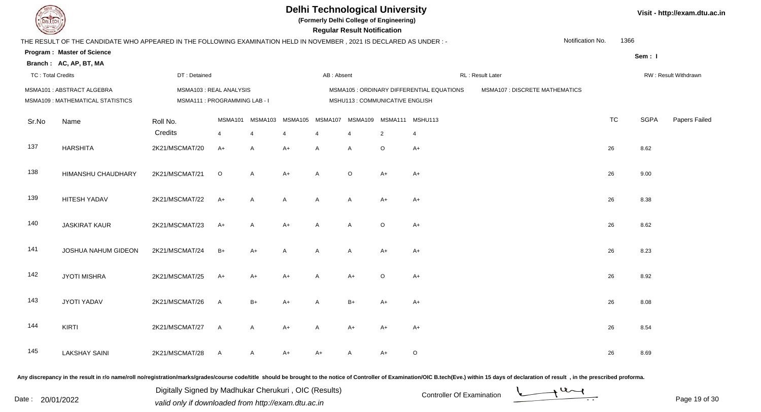

**(Formerly Delhi College of Engineering)**

| <b>Consultor of Persons</b> |                                                                                                                      |                                                         |              |                           |                           |              | <b>Regular Result Notification</b> |                                           |                                           |                                       |                  |           |             |                      |
|-----------------------------|----------------------------------------------------------------------------------------------------------------------|---------------------------------------------------------|--------------|---------------------------|---------------------------|--------------|------------------------------------|-------------------------------------------|-------------------------------------------|---------------------------------------|------------------|-----------|-------------|----------------------|
|                             | THE RESULT OF THE CANDIDATE WHO APPEARED IN THE FOLLOWING EXAMINATION HELD IN NOVEMBER, 2021 IS DECLARED AS UNDER :- |                                                         |              |                           |                           |              |                                    |                                           |                                           |                                       | Notification No. | 1366      |             |                      |
|                             | <b>Program: Master of Science</b>                                                                                    |                                                         |              |                           |                           |              |                                    |                                           |                                           |                                       |                  |           | Sem: I      |                      |
|                             | Branch: AC, AP, BT, MA                                                                                               |                                                         |              |                           |                           |              |                                    |                                           |                                           |                                       |                  |           |             |                      |
| <b>TC: Total Credits</b>    |                                                                                                                      | DT: Detained                                            |              |                           |                           | AB: Absent   |                                    |                                           |                                           | RL: Result Later                      |                  |           |             | RW: Result Withdrawn |
|                             | MSMA101: ABSTRACT ALGEBRA<br>MSMA109 : MATHEMATICAL STATISTICS                                                       | MSMA103: REAL ANALYSIS<br>MSMA111 : PROGRAMMING LAB - I |              |                           |                           |              | MSHU113 : COMMUNICATIVE ENGLISH    |                                           | MSMA105 : ORDINARY DIFFERENTIAL EQUATIONS | <b>MSMA107 : DISCRETE MATHEMATICS</b> |                  |           |             |                      |
| Sr.No                       | Name                                                                                                                 | Roll No.<br>Credits                                     | MSMA101<br>4 | MSMA103<br>$\overline{4}$ | MSMA105<br>$\overline{4}$ | MSMA107<br>4 | $\overline{4}$                     | MSMA109 MSMA111 MSHU113<br>$\overline{2}$ | $\overline{4}$                            |                                       |                  | <b>TC</b> | <b>SGPA</b> | Papers Failec        |
| 137                         | <b>HARSHITA</b>                                                                                                      | 2K21/MSCMAT/20                                          | $A+$         | A                         | $A+$                      | A            | Α                                  | $\circ$                                   | $A+$                                      |                                       |                  | 26        | 8.62        |                      |
| 138                         | HIMANSHU CHAUDHARY                                                                                                   | 2K21/MSCMAT/21                                          | $\mathsf O$  | A                         | $A+$                      | A            | $\circ$                            | $A+$                                      | $A+$                                      |                                       |                  | 26        | 9.00        |                      |
| 139                         | <b>HITESH YADAV</b>                                                                                                  | 2K21/MSCMAT/22                                          | $A+$         | A                         | A                         | Α            | A                                  | $A+$                                      | $A+$                                      |                                       |                  | 26        | 8.38        |                      |
| 140                         | <b>JASKIRAT KAUR</b>                                                                                                 | 2K21/MSCMAT/23                                          | $A+$         | A                         | $A+$                      | Α            | A                                  | $\circ$                                   | $A+$                                      |                                       |                  | 26        | 8.62        |                      |
| 141                         | JOSHUA NAHUM GIDEON                                                                                                  | 2K21/MSCMAT/24                                          | $B+$         | A+                        | Α                         | Α            | A                                  | $A+$                                      | A+                                        |                                       |                  | 26        | 8.23        |                      |
| 142                         | <b>JYOTI MISHRA</b>                                                                                                  | 2K21/MSCMAT/25                                          | $A+$         | A+                        | $A+$                      | Α            | A+                                 | $\circ$                                   | $A+$                                      |                                       |                  | 26        | 8.92        |                      |
| 143                         | JYOTI YADAV                                                                                                          | 2K21/MSCMAT/26                                          | $\mathsf{A}$ | $B+$                      | $A+$                      | Α            | $B+$                               | $A+$                                      | $A+$                                      |                                       |                  | 26        | 8.08        |                      |
| 144                         | <b>KIRTI</b>                                                                                                         | 2K21/MSCMAT/27                                          | $\mathsf{A}$ | A                         | $A+$                      | A            | A+                                 | $A+$                                      | $A+$                                      |                                       |                  | 26        | 8.54        |                      |
| 145                         | <b>LAKSHAY SAINI</b>                                                                                                 | 2K21/MSCMAT/28                                          | $\mathsf{A}$ | A                         | A+                        | $A+$         | Α                                  | $A+$                                      | $\mathsf O$                               |                                       |                  | 26        | 8.69        |                      |

Any discrepancy in the result in r/o name/roll no/registration/marks/grades/course code/title should be brought to the notice of Controller of Examination/OIC B.tech(Eve.) within 15 days of declaration of result, in the pr

Date : 20/01/2022 Valid only if downloaded from http://exam.dtu.ac.in<br>valid only if downloaded from http://exam.dtu.ac.in Digitally Signed by Madhukar Cherukuri , OIC (Results)

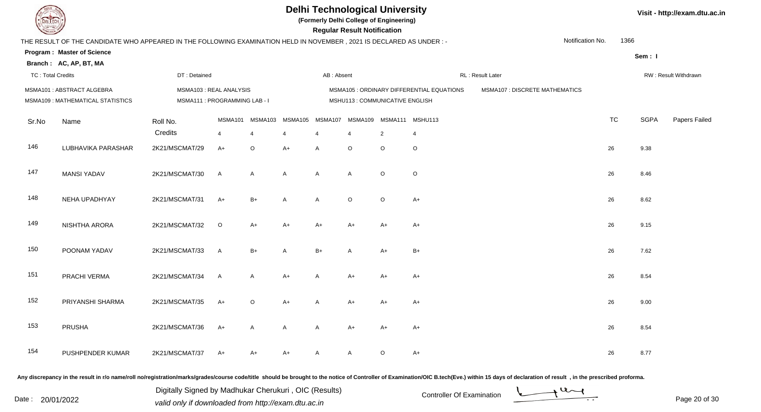

**(Formerly Delhi College of Engineering)**

| <b>Consumer of Personal Property</b> |                                                                                                                      |                |                                                         |         |         |                       | <b>Regular Result Notification</b> |                         |                                           |                                       |                  |           |             |                      |
|--------------------------------------|----------------------------------------------------------------------------------------------------------------------|----------------|---------------------------------------------------------|---------|---------|-----------------------|------------------------------------|-------------------------|-------------------------------------------|---------------------------------------|------------------|-----------|-------------|----------------------|
|                                      | THE RESULT OF THE CANDIDATE WHO APPEARED IN THE FOLLOWING EXAMINATION HELD IN NOVEMBER, 2021 IS DECLARED AS UNDER :- |                |                                                         |         |         |                       |                                    |                         |                                           |                                       | Notification No. | 1366      |             |                      |
|                                      | <b>Program: Master of Science</b><br>Branch: AC, AP, BT, MA                                                          |                |                                                         |         |         |                       |                                    |                         |                                           |                                       |                  |           | Sem: I      |                      |
| <b>TC: Total Credits</b>             |                                                                                                                      | DT: Detained   |                                                         |         |         | AB: Absent            |                                    |                         |                                           | RL: Result Later                      |                  |           |             | RW: Result Withdrawn |
|                                      | MSMA101: ABSTRACT ALGEBRA<br>MSMA109 : MATHEMATICAL STATISTICS                                                       |                | MSMA103: REAL ANALYSIS<br>MSMA111 : PROGRAMMING LAB - I |         |         |                       | MSHU113 : COMMUNICATIVE ENGLISH    |                         | MSMA105 : ORDINARY DIFFERENTIAL EQUATIONS | <b>MSMA107 : DISCRETE MATHEMATICS</b> |                  |           |             |                      |
| Sr.No                                | Name                                                                                                                 | Roll No.       | MSMA101                                                 | MSMA103 | MSMA105 | MSMA107               |                                    | MSMA109 MSMA111 MSHU113 |                                           |                                       |                  | <b>TC</b> | <b>SGPA</b> | Papers Failec        |
|                                      |                                                                                                                      | Credits        | $\overline{4}$                                          |         | 4       | $\boldsymbol{\Delta}$ | $\overline{4}$                     | 2                       | $\overline{4}$                            |                                       |                  |           |             |                      |
| 146                                  | LUBHAVIKA PARASHAR                                                                                                   | 2K21/MSCMAT/29 | $A+$                                                    | $\circ$ | $A+$    | Α                     | $\circ$                            | $\circ$                 | $\circ$                                   |                                       |                  | 26        | 9.38        |                      |
| 147                                  | <b>MANSI YADAV</b>                                                                                                   | 2K21/MSCMAT/30 | $\mathsf{A}$                                            | A       | A       | A                     | A                                  | $\circ$                 | $\mathsf O$                               |                                       |                  | 26        | 8.46        |                      |
| 148                                  | NEHA UPADHYAY                                                                                                        | 2K21/MSCMAT/31 | $A+$                                                    | $B+$    | A       | A                     | $\circ$                            | $\circ$                 | $A+$                                      |                                       |                  | 26        | 8.62        |                      |
| 149                                  | NISHTHA ARORA                                                                                                        | 2K21/MSCMAT/32 | $\circ$                                                 | $A+$    | $A+$    | $A+$                  | A+                                 | $A+$                    | $A+$                                      |                                       |                  | 26        | 9.15        |                      |
| 150                                  | POONAM YADAV                                                                                                         | 2K21/MSCMAT/33 | $\mathsf{A}$                                            | $B+$    | A       | $B+$                  | A                                  | $A+$                    | $B+$                                      |                                       |                  | 26        | 7.62        |                      |
| 151                                  | PRACHI VERMA                                                                                                         | 2K21/MSCMAT/34 | $\mathsf{A}$                                            | A       | $A+$    | A                     | $A+$                               | $A+$                    | $A+$                                      |                                       |                  | 26        | 8.54        |                      |
| 152                                  | PRIYANSHI SHARMA                                                                                                     | 2K21/MSCMAT/35 | $A+$                                                    | O       | $A+$    | Α                     | A+                                 | $A+$                    | A+                                        |                                       |                  | 26        | 9.00        |                      |
| 153                                  | PRUSHA                                                                                                               | 2K21/MSCMAT/36 | $A+$                                                    | A       | A       | Α                     | A+                                 | $A+$                    | $A+$                                      |                                       |                  | 26        | 8.54        |                      |
| 154                                  | PUSHPENDER KUMAR                                                                                                     | 2K21/MSCMAT/37 | $A+$                                                    | A+      | A+      | A                     | A                                  | O                       | $A+$                                      |                                       |                  | 26        | 8.77        |                      |

Any discrepancy in the result in r/o name/roll no/registration/marks/grades/course code/title should be brought to the notice of Controller of Examination/OIC B.tech(Eve.) within 15 days of declaration of result, in the pr

Date : 20/01/2022 Valid only if downloaded from http://exam.dtu.ac.in<br>valid only if downloaded from http://exam.dtu.ac.in Digitally Signed by Madhukar Cherukuri , OIC (Results)

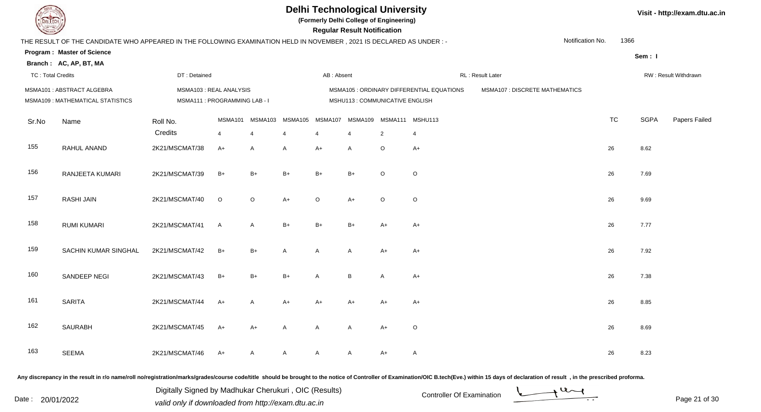

**(Formerly Delhi College of Engineering)**

| <b>County of Second Street</b> |                                                                                                                      |                     |                                                         |              |                           |              | <b>Regular Result Notification</b> |                              |                                           |                                       |                  |           |             |                      |
|--------------------------------|----------------------------------------------------------------------------------------------------------------------|---------------------|---------------------------------------------------------|--------------|---------------------------|--------------|------------------------------------|------------------------------|-------------------------------------------|---------------------------------------|------------------|-----------|-------------|----------------------|
|                                | THE RESULT OF THE CANDIDATE WHO APPEARED IN THE FOLLOWING EXAMINATION HELD IN NOVEMBER, 2021 IS DECLARED AS UNDER :- |                     |                                                         |              |                           |              |                                    |                              |                                           |                                       | Notification No. | 1366      |             |                      |
|                                | <b>Program: Master of Science</b><br>Branch: AC, AP, BT, MA                                                          |                     |                                                         |              |                           |              |                                    |                              |                                           |                                       |                  |           | Sem: I      |                      |
| <b>TC: Total Credits</b>       |                                                                                                                      | DT: Detained        |                                                         |              |                           | AB: Absent   |                                    |                              |                                           | RL: Result Later                      |                  |           |             | RW: Result Withdrawn |
|                                | MSMA101: ABSTRACT ALGEBRA<br>MSMA109 : MATHEMATICAL STATISTICS                                                       |                     | MSMA103: REAL ANALYSIS<br>MSMA111 : PROGRAMMING LAB - I |              |                           |              | MSHU113 : COMMUNICATIVE ENGLISH    |                              | MSMA105 : ORDINARY DIFFERENTIAL EQUATIONS | <b>MSMA107 : DISCRETE MATHEMATICS</b> |                  |           |             |                      |
| Sr.No                          | Name                                                                                                                 | Roll No.<br>Credits | MSMA101<br>$\overline{4}$                               | MSMA103<br>4 | MSMA105<br>$\overline{4}$ | MSMA107<br>4 | $\overline{4}$                     | MSMA109 MSMA111 MSHU113<br>2 | 4                                         |                                       |                  | <b>TC</b> | <b>SGPA</b> | Papers Failec        |
| 155                            | RAHUL ANAND                                                                                                          | 2K21/MSCMAT/38      | $A+$                                                    | A            | A                         | $A+$         | A                                  | $\circ$                      | $A+$                                      |                                       |                  | 26        | 8.62        |                      |
| 156                            | RANJEETA KUMARI                                                                                                      | 2K21/MSCMAT/39      | $B+$                                                    | $B+$         | $B+$                      | $B+$         | $B+$                               | $\Omega$                     | $\circ$                                   |                                       |                  | 26        | 7.69        |                      |
| 157                            | <b>RASHI JAIN</b>                                                                                                    | 2K21/MSCMAT/40      | $\circ$                                                 | $\circ$      | $A+$                      | $\circ$      | $A+$                               | $\circ$                      | $\circ$                                   |                                       |                  | 26        | 9.69        |                      |
| 158                            | <b>RUMI KUMARI</b>                                                                                                   | 2K21/MSCMAT/41      | $\mathsf{A}$                                            | A            | $B+$                      | $B+$         | $B+$                               | $A+$                         | $A+$                                      |                                       |                  | 26        | 7.77        |                      |
| 159                            | SACHIN KUMAR SINGHAL                                                                                                 | 2K21/MSCMAT/42      | $B+$                                                    | $B+$         | A                         | Α            | A                                  | $A+$                         | $A+$                                      |                                       |                  | 26        | 7.92        |                      |
| 160                            | SANDEEP NEGI                                                                                                         | 2K21/MSCMAT/43      | $B+$                                                    | $B+$         | $B+$                      | Α            | $\, {\bf B}$                       | A                            | $A+$                                      |                                       |                  | 26        | 7.38        |                      |
| 161                            | <b>SARITA</b>                                                                                                        | 2K21/MSCMAT/44      | $A+$                                                    | A            | $A+$                      | $A+$         | A+                                 | $A+$                         | $A+$                                      |                                       |                  | 26        | 8.85        |                      |
| 162                            | <b>SAURABH</b>                                                                                                       | 2K21/MSCMAT/45      | $A+$                                                    | $A+$         | A                         | Α            | A                                  | $A+$                         | $\circ$                                   |                                       |                  | 26        | 8.69        |                      |
| 163                            | <b>SEEMA</b>                                                                                                         | 2K21/MSCMAT/46      | $A+$                                                    | A            | Α                         | A            | $\mathsf{A}$                       | $A+$                         | A                                         |                                       |                  | 26        | 8.23        |                      |
|                                |                                                                                                                      |                     |                                                         |              |                           |              |                                    |                              |                                           |                                       |                  |           |             |                      |

Any discrepancy in the result in r/o name/roll no/registration/marks/grades/course code/title should be brought to the notice of Controller of Examination/OIC B.tech(Eve.) within 15 days of declaration of result, in the pr

Date : 20/01/2022 Valid only if downloaded from http://exam.dtu.ac.in<br>valid only if downloaded from http://exam.dtu.ac.in Digitally Signed by Madhukar Cherukuri , OIC (Results)

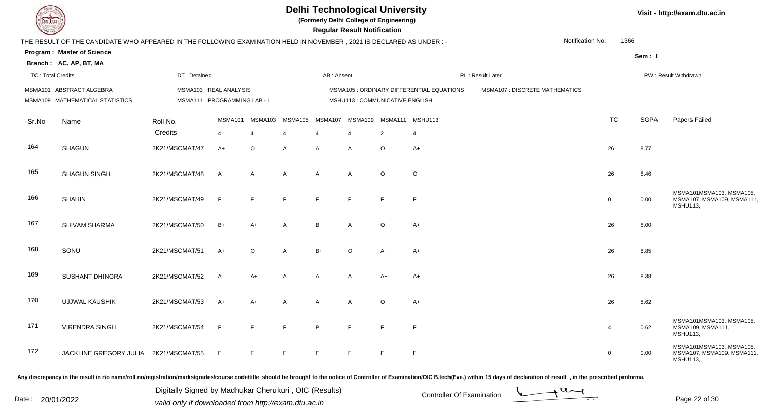

**(Formerly Delhi College of Engineering)**

**Visit - http://exam.dtu.ac.in**

| <b>Courses of</b> |                                                                                                                      |                                                         |                |                 |         |                | <b>Regular Result Notification</b> |                |                                           |                                |                  |        |                                                                          |
|-------------------|----------------------------------------------------------------------------------------------------------------------|---------------------------------------------------------|----------------|-----------------|---------|----------------|------------------------------------|----------------|-------------------------------------------|--------------------------------|------------------|--------|--------------------------------------------------------------------------|
|                   | THE RESULT OF THE CANDIDATE WHO APPEARED IN THE FOLLOWING EXAMINATION HELD IN NOVEMBER, 2021 IS DECLARED AS UNDER :- |                                                         |                |                 |         |                |                                    |                |                                           |                                | Notification No. | 1366   |                                                                          |
|                   | <b>Program: Master of Science</b>                                                                                    |                                                         |                |                 |         |                |                                    |                |                                           |                                |                  | Sem: I |                                                                          |
|                   | Branch: AC, AP, BT, MA                                                                                               |                                                         |                |                 |         |                |                                    |                |                                           |                                |                  |        |                                                                          |
| TC: Total Credits |                                                                                                                      | DT: Detained                                            |                |                 |         | AB: Absent     |                                    |                |                                           | RL: Result Later               |                  |        | <b>RW: Result Withdrawn</b>                                              |
|                   | MSMA101: ABSTRACT ALGEBRA<br>MSMA109 : MATHEMATICAL STATISTICS                                                       | MSMA103: REAL ANALYSIS<br>MSMA111 : PROGRAMMING LAB - I |                |                 |         |                | MSHU113 : COMMUNICATIVE ENGLISH    |                | MSMA105 : ORDINARY DIFFERENTIAL EQUATIONS | MSMA107 : DISCRETE MATHEMATICS |                  |        |                                                                          |
| Sr.No             | Name                                                                                                                 | Roll No.                                                |                | MSMA101 MSMA103 | MSMA105 |                | MSMA107 MSMA109 MSMA111 MSHU113    |                |                                           |                                | <b>TC</b>        | SGPA   | Papers Failed                                                            |
|                   |                                                                                                                      | Credits                                                 | 4              | 4               |         |                |                                    | $\overline{2}$ | $\overline{4}$                            |                                |                  |        |                                                                          |
| 164               | <b>SHAGUN</b>                                                                                                        | 2K21/MSCMAT/47                                          | $A+$           | $\circ$         | A       | A              | $\overline{A}$                     | $\circ$        | $A+$                                      |                                | 26               | 8.77   |                                                                          |
| 165               | <b>SHAGUN SINGH</b>                                                                                                  | 2K21/MSCMAT/48                                          | $\overline{A}$ | A               | A       | A              | $\overline{A}$                     | $\circ$        | $\circ$                                   |                                | 26               | 8.46   |                                                                          |
| 166               | <b>SHAHIN</b>                                                                                                        | 2K21/MSCMAT/49                                          | $\mathsf{F}$   | F               | F       | F              | F                                  | F              | F                                         |                                | $\mathbf 0$      | 0.00   | MSMA101MSMA103, MSMA105,<br>MSMA107, MSMA109, MSMA111<br><b>MSHU113,</b> |
| 167               | SHIVAM SHARMA                                                                                                        | 2K21/MSCMAT/50                                          | $B+$           | $A+$            | A       | B              | A                                  | $\circ$        | $A+$                                      |                                | 26               | 8.00   |                                                                          |
| 168               | SONU                                                                                                                 | 2K21/MSCMAT/51                                          | $A+$           | $\circ$         | A       | $B+$           | $\circ$                            | $A+$           | $A+$                                      |                                | 26               | 8.85   |                                                                          |
| 169               | <b>SUSHANT DHINGRA</b>                                                                                               | 2K21/MSCMAT/52                                          | $\overline{A}$ | $A+$            | A       | A              | $\overline{A}$                     | $A+$           | $A+$                                      |                                | 26               | 8.38   |                                                                          |
| 170               | <b>UJJWAL KAUSHIK</b>                                                                                                | 2K21/MSCMAT/53                                          | $A+$           | $A+$            | A       | $\overline{A}$ | $\overline{A}$                     | $\circ$        | $A+$                                      |                                | 26               | 8.62   |                                                                          |
| 171               | <b>VIRENDRA SINGH</b>                                                                                                | 2K21/MSCMAT/54                                          | F              | E               | F       | P              | $\mathsf{F}$                       | $\mathsf{F}$   | $\mathsf F$                               |                                | $\overline{4}$   | 0.62   | MSMA101MSMA103, MSMA105,<br>MSMA109, MSMA111,<br><b>MSHU113,</b>         |
| 172               | JACKLINE GREGORY JULIA 2K21/MSCMAT/55                                                                                |                                                         | F              | F               | F       | E              | E                                  | E              | F                                         |                                | $\mathbf 0$      | 0.00   | MSMA101MSMA103, MSMA105,<br>MSMA107, MSMA109, MSMA111<br><b>MSHU113,</b> |

Any discrepancy in the result in r/o name/roll no/registration/marks/grades/course code/title should be brought to the notice of Controller of Examination/OIC B.tech(Eve.) within 15 days of declaration of result, in the pr

Date : 20/01/2022 Valid only if downloaded from http://exam.dtu.ac.in<br>valid only if downloaded from http://exam.dtu.ac.in Digitally Signed by Madhukar Cherukuri , OIC (Results)



Page 22 of 30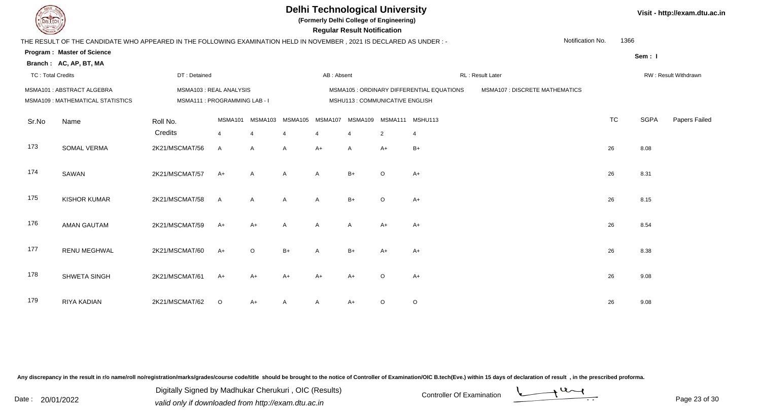

**(Formerly Delhi College of Engineering)**

| <b>Courses of</b>        |                                                                                                                                                           |                                                         |              |              |                           |              | <b>Regular Result Notification</b> |                                           |                                           |                                       |                  |           |             |                      |
|--------------------------|-----------------------------------------------------------------------------------------------------------------------------------------------------------|---------------------------------------------------------|--------------|--------------|---------------------------|--------------|------------------------------------|-------------------------------------------|-------------------------------------------|---------------------------------------|------------------|-----------|-------------|----------------------|
|                          | THE RESULT OF THE CANDIDATE WHO APPEARED IN THE FOLLOWING EXAMINATION HELD IN NOVEMBER, 2021 IS DECLARED AS UNDER :-<br><b>Program: Master of Science</b> |                                                         |              |              |                           |              |                                    |                                           |                                           |                                       | Notification No. | 1366      | Sem: I      |                      |
| <b>TC: Total Credits</b> | Branch: AC, AP, BT, MA                                                                                                                                    | DT: Detained                                            |              |              |                           | AB: Absent   |                                    |                                           |                                           | RL: Result Later                      |                  |           |             | RW: Result Withdrawn |
|                          | MSMA101: ABSTRACT ALGEBRA<br>MSMA109: MATHEMATICAL STATISTICS                                                                                             | MSMA103: REAL ANALYSIS<br>MSMA111 : PROGRAMMING LAB - I |              |              |                           |              | MSHU113 : COMMUNICATIVE ENGLISH    |                                           | MSMA105 : ORDINARY DIFFERENTIAL EQUATIONS | <b>MSMA107 : DISCRETE MATHEMATICS</b> |                  |           |             |                      |
| Sr.No                    | Name                                                                                                                                                      | Roll No.<br>Credits                                     | MSMA101<br>4 | MSMA103<br>4 | MSMA105<br>$\overline{4}$ | MSMA107<br>4 | $\overline{4}$                     | MSMA109 MSMA111 MSHU113<br>$\overline{2}$ | $\overline{4}$                            |                                       |                  | <b>TC</b> | <b>SGPA</b> | Papers Failec        |
| 173                      | SOMAL VERMA                                                                                                                                               | 2K21/MSCMAT/56                                          | $\mathsf{A}$ | $\mathsf{A}$ | $\mathsf{A}$              | $A+$         | $\mathsf{A}$                       | $A+$                                      | $B+$                                      |                                       |                  | 26        | 8.08        |                      |
| 174                      | SAWAN                                                                                                                                                     | 2K21/MSCMAT/57                                          | $A+$         | A            | A                         | Α            | $B+$                               | $\circ$                                   | $A+$                                      |                                       |                  | 26        | 8.31        |                      |
| 175                      | <b>KISHOR KUMAR</b>                                                                                                                                       | 2K21/MSCMAT/58                                          | $\mathsf{A}$ | $\mathsf{A}$ | A                         | A            | $B+$                               | $\Omega$                                  | $A+$                                      |                                       |                  | 26        | 8.15        |                      |
| 176                      | <b>AMAN GAUTAM</b>                                                                                                                                        | 2K21/MSCMAT/59                                          | $A+$         | $A+$         | A                         | Α            | Α                                  | $A+$                                      | $A+$                                      |                                       |                  | 26        | 8.54        |                      |
| 177                      | <b>RENU MEGHWAL</b>                                                                                                                                       | 2K21/MSCMAT/60                                          | $A+$         | $\circ$      | $B+$                      | A            | $B+$                               | $A+$                                      | $A+$                                      |                                       |                  | 26        | 8.38        |                      |
| 178                      | SHWETA SINGH                                                                                                                                              | 2K21/MSCMAT/61                                          | $A+$         | A+           | $A+$                      | $A+$         | $A+$                               | $\Omega$                                  | $A+$                                      |                                       |                  | 26        | 9.08        |                      |
| 179                      | RIYA KADIAN                                                                                                                                               | 2K21/MSCMAT/62                                          | $\circ$      | A+           | Α                         | A            | A+                                 | $\circ$                                   | $\mathsf O$                               |                                       |                  | 26        | 9.08        |                      |

Any discrepancy in the result in r/o name/roll no/registration/marks/grades/course code/title should be brought to the notice of Controller of Examination/OIC B.tech(Eve.) within 15 days of declaration of result, in the pr

Date : 20/01/2022 Valid only if downloaded from http://exam.dtu.ac.in<br>valid only if downloaded from http://exam.dtu.ac.in Digitally Signed by Madhukar Cherukuri , OIC (Results)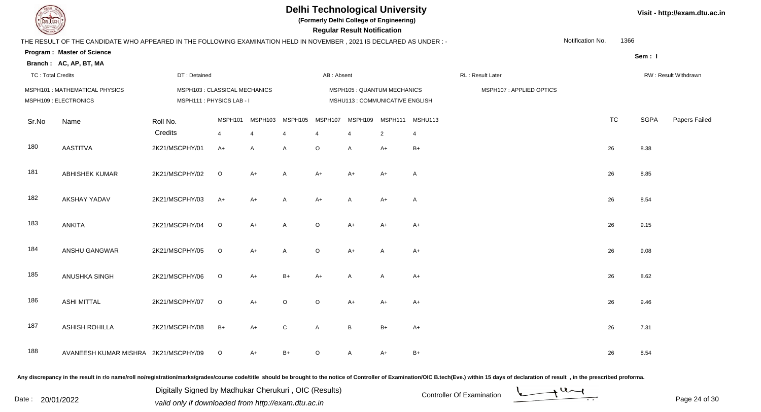**(Formerly Delhi College of Engineering)**

 **Regular Result Notification**

|  | Visit - http://exam.dtu.ac.in |  |
|--|-------------------------------|--|
|--|-------------------------------|--|

| <b>Courses Lines</b>     |                                                                                                                      |                               |                |                |                |                | Regular Result Notification     |                |         |                         |                  |           |             |                      |
|--------------------------|----------------------------------------------------------------------------------------------------------------------|-------------------------------|----------------|----------------|----------------|----------------|---------------------------------|----------------|---------|-------------------------|------------------|-----------|-------------|----------------------|
|                          | THE RESULT OF THE CANDIDATE WHO APPEARED IN THE FOLLOWING EXAMINATION HELD IN NOVEMBER, 2021 IS DECLARED AS UNDER :- |                               |                |                |                |                |                                 |                |         |                         | Notification No. | 1366      |             |                      |
|                          | <b>Program: Master of Science</b>                                                                                    |                               |                |                |                |                |                                 |                |         |                         |                  |           | Sem: I      |                      |
|                          | Branch: AC, AP, BT, MA                                                                                               |                               |                |                |                |                |                                 |                |         |                         |                  |           |             |                      |
| <b>TC: Total Credits</b> |                                                                                                                      | DT: Detained                  |                |                |                | AB: Absent     |                                 |                |         | RL: Result Later        |                  |           |             | RW: Result Withdrawn |
|                          | MSPH101: MATHEMATICAL PHYSICS                                                                                        | MSPH103 : CLASSICAL MECHANICS |                |                |                |                | MSPH105 : QUANTUM MECHANICS     |                |         | MSPH107: APPLIED OPTICS |                  |           |             |                      |
|                          | MSPH109 : ELECTRONICS                                                                                                | MSPH111: PHYSICS LAB - I      |                |                |                |                | MSHU113 : COMMUNICATIVE ENGLISH |                |         |                         |                  |           |             |                      |
| Sr.No                    | Name                                                                                                                 | Roll No.                      | MSPH101        | MSPH103        | MSPH105        | MSPH107        | MSPH109                         | MSPH111        | MSHU113 |                         |                  | <b>TC</b> | <b>SGPA</b> | Papers Failed        |
|                          |                                                                                                                      | Credits                       | $\overline{4}$ | $\overline{4}$ | $\overline{4}$ | $\overline{4}$ | $\overline{4}$                  | $\overline{2}$ | 4       |                         |                  |           |             |                      |
| 180                      | <b>AASTITVA</b>                                                                                                      | 2K21/MSCPHY/01                | $A+$           | $\mathsf{A}$   | A              | $\circ$        | $\overline{A}$                  | $A+$           | $B+$    |                         |                  | 26        | 8.38        |                      |
| 181                      | <b>ABHISHEK KUMAR</b>                                                                                                | 2K21/MSCPHY/02                | $\circ$        | $A+$           | $\overline{A}$ | $A+$           | $A+$                            | $A+$           | A       |                         |                  | 26        | 8.85        |                      |
| 182                      | <b>AKSHAY YADAV</b>                                                                                                  | 2K21/MSCPHY/03                | $A+$           | $A+$           | A              | $A+$           | A                               | $A+$           | A       |                         |                  | 26        | 8.54        |                      |
| 183                      | ANKITA                                                                                                               | 2K21/MSCPHY/04                | $\circ$        | $A+$           | $\overline{A}$ | $\mathsf O$    | $A+$                            | $A+$           | $A+$    |                         |                  | 26        | 9.15        |                      |
| 184                      | ANSHU GANGWAR                                                                                                        | 2K21/MSCPHY/05                | $\circ$        | $A+$           | A              | $\circ$        | $A+$                            | $\mathsf{A}$   | $A+$    |                         |                  | 26        | 9.08        |                      |
| 185                      | ANUSHKA SINGH                                                                                                        | 2K21/MSCPHY/06                | $\mathsf O$    | $A+$           | $B+$           | $A+$           | A                               | A              | $A+$    |                         |                  | 26        | 8.62        |                      |
| 186                      | <b>ASHI MITTAL</b>                                                                                                   | 2K21/MSCPHY/07                | $\circ$        | $A+$           | $\circ$        | $\circ$        | $A+$                            | $A+$           | $A+$    |                         |                  | 26        | 9.46        |                      |
| 187                      | <b>ASHISH ROHILLA</b>                                                                                                | 2K21/MSCPHY/08                | $B+$           | $A+$           | ${\bf C}$      | A              | B                               | $B+$           | $A+$    |                         |                  | 26        | 7.31        |                      |
| 188                      | AVANEESH KUMAR MISHRA 2K21/MSCPHY/09                                                                                 |                               | $\circ$        | $A+$           | $B+$           | $\circ$        | A                               | $A+$           | $B+$    |                         |                  | 26        | 8.54        |                      |

Any discrepancy in the result in r/o name/roll no/registration/marks/grades/course code/title should be brought to the notice of Controller of Examination/OIC B.tech(Eve.) within 15 days of declaration of result, in the pr

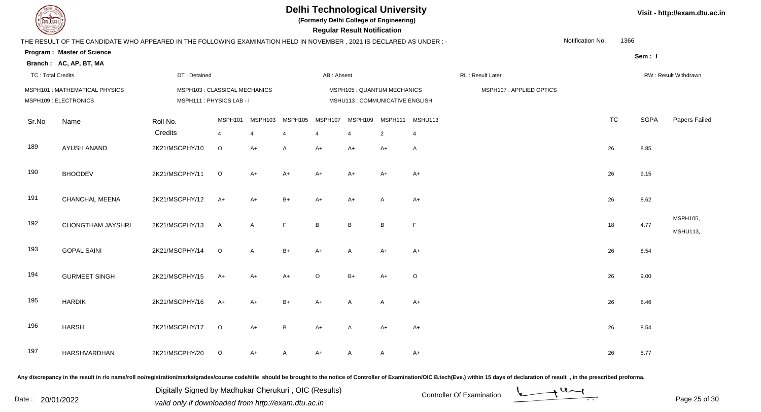**(Formerly Delhi College of Engineering)**

 **Regular Result Notification**

|  | Visit - http://exam.dtu.ac.in |  |
|--|-------------------------------|--|
|--|-------------------------------|--|

| THE RESULT OF THE CANDIDATE WHO APPEARED IN THE FOLLOWING EXAMINATION HELD IN NOVEMBER, 2021 IS DECLARED AS UNDER :-<br><b>Program: Master of Science</b><br>Branch: AC, AP, BT, MA<br><b>TC: Total Credits</b><br>MSPH101 : MATHEMATICAL PHYSICS<br>MSPH109 : ELECTRONICS | DT: Detained<br>MSPH103 : CLASSICAL MECHANICS |                           |                |                           | AB: Absent   |                           |                             |                           |                                            | Notification No. | 1366      | Sem: I                           |                             |
|----------------------------------------------------------------------------------------------------------------------------------------------------------------------------------------------------------------------------------------------------------------------------|-----------------------------------------------|---------------------------|----------------|---------------------------|--------------|---------------------------|-----------------------------|---------------------------|--------------------------------------------|------------------|-----------|----------------------------------|-----------------------------|
|                                                                                                                                                                                                                                                                            |                                               |                           |                |                           |              |                           |                             |                           |                                            |                  |           |                                  |                             |
|                                                                                                                                                                                                                                                                            |                                               |                           |                |                           |              |                           |                             |                           |                                            |                  |           |                                  |                             |
|                                                                                                                                                                                                                                                                            |                                               |                           |                |                           |              |                           |                             |                           |                                            |                  |           |                                  |                             |
|                                                                                                                                                                                                                                                                            |                                               |                           |                |                           |              |                           |                             |                           | RL: Result Later                           |                  |           |                                  | RW: Result Withdrawn        |
|                                                                                                                                                                                                                                                                            |                                               |                           |                |                           |              |                           | MSPH105 : QUANTUM MECHANICS |                           | MSPH107: APPLIED OPTICS                    |                  |           |                                  |                             |
|                                                                                                                                                                                                                                                                            | Roll No.<br>Credits                           | MSPH101<br>$\overline{4}$ | MSPH103<br>4   | MSPH105<br>$\overline{4}$ | MSPH107<br>4 | MSPH109<br>$\overline{4}$ | $\overline{2}$              | MSHU113<br>$\overline{4}$ |                                            |                  | <b>TC</b> | <b>SGPA</b>                      | Papers Failed               |
| AYUSH ANAND                                                                                                                                                                                                                                                                | 2K21/MSCPHY/10                                | $\circ$                   | $A+$           | $\mathsf{A}$              | $A+$         | A+                        | $A+$                        | A                         |                                            |                  |           | 8.85                             |                             |
| <b>BHOODEV</b>                                                                                                                                                                                                                                                             | 2K21/MSCPHY/11                                | $\circ$                   | $A+$           | $A+$                      | $A+$         | $A+$                      | $A+$                        | $A+$                      |                                            |                  |           | 9.15                             |                             |
| CHANCHAL MEENA                                                                                                                                                                                                                                                             | 2K21/MSCPHY/12                                | A+                        | A+             | $B+$                      | $A+$         | A+                        | A                           | $A+$                      |                                            |                  | 26        | 8.62                             |                             |
| CHONGTHAM JAYSHRI                                                                                                                                                                                                                                                          | 2K21/MSCPHY/13                                | $\mathsf{A}$              | A              | F                         | B            | $\, {\bf B} \,$           | B                           | F.                        |                                            |                  |           | 4.77                             | MSPH105,<br><b>MSHU113,</b> |
| <b>GOPAL SAINI</b>                                                                                                                                                                                                                                                         | 2K21/MSCPHY/14                                | $\circ$                   | $\overline{A}$ | $B+$                      | $A+$         | A                         | $A+$                        | $A+$                      |                                            |                  |           | 8.54                             |                             |
| <b>GURMEET SINGH</b>                                                                                                                                                                                                                                                       | 2K21/MSCPHY/15                                | $A+$                      | $A+$           | $A+$                      | $\circ$      | $B+$                      | $A+$                        | $\mathsf O$               |                                            |                  | 26        | 9.00                             |                             |
| <b>HARDIK</b>                                                                                                                                                                                                                                                              | 2K21/MSCPHY/16                                | $A+$                      | A+             | $B+$                      | $A+$         | A                         | A                           | $A+$                      |                                            |                  |           | 8.46                             |                             |
| <b>HARSH</b>                                                                                                                                                                                                                                                               | 2K21/MSCPHY/17                                | $\circ$                   | $A+$           | $\, {\bf B}$              | $A+$         | A                         | $A+$                        | A+                        |                                            |                  |           | 8.54                             |                             |
| HARSHVARDHAN                                                                                                                                                                                                                                                               | 2K21/MSCPHY/20                                | $\circ$                   | $A+$           | $\overline{A}$            | A+           | A                         | Α                           | $A+$                      |                                            |                  | 26        | 8.77                             |                             |
|                                                                                                                                                                                                                                                                            | Name                                          |                           |                | MSPH111 : PHYSICS LAB - I |              |                           |                             |                           | MSHU113 : COMMUNICATIVE ENGLISH<br>MSPH111 |                  |           | 26<br>26<br>18<br>26<br>26<br>26 |                             |

Any discrepancy in the result in r/o name/roll no/registration/marks/grades/course code/title should be brought to the notice of Controller of Examination/OIC B.tech(Eve.) within 15 days of declaration of result, in the pr

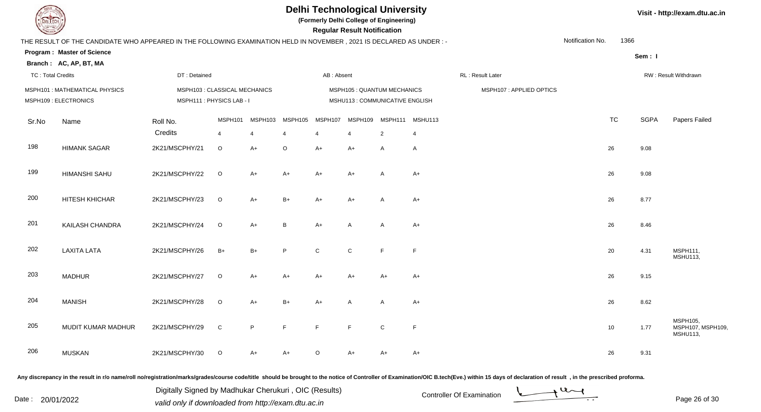**(Formerly Delhi College of Engineering)**

 **Regular Result Notification**

|  | Visit - http://exam.dtu.ac.in |  |
|--|-------------------------------|--|
|--|-------------------------------|--|

| <b>Course Line</b>       |                                                                                                                      |                               |                |                |         |                | Regular Result Notification |                                 |                 |                  |                         |                  |           |             |                                                  |
|--------------------------|----------------------------------------------------------------------------------------------------------------------|-------------------------------|----------------|----------------|---------|----------------|-----------------------------|---------------------------------|-----------------|------------------|-------------------------|------------------|-----------|-------------|--------------------------------------------------|
|                          | THE RESULT OF THE CANDIDATE WHO APPEARED IN THE FOLLOWING EXAMINATION HELD IN NOVEMBER, 2021 IS DECLARED AS UNDER :- |                               |                |                |         |                |                             |                                 |                 |                  |                         | Notification No. | 1366      |             |                                                  |
|                          | <b>Program: Master of Science</b>                                                                                    |                               |                |                |         |                |                             |                                 |                 |                  |                         |                  |           | Sem: I      |                                                  |
|                          | Branch: AC, AP, BT, MA                                                                                               |                               |                |                |         |                |                             |                                 |                 |                  |                         |                  |           |             |                                                  |
| <b>TC: Total Credits</b> |                                                                                                                      | DT: Detained                  |                |                |         | AB: Absent     |                             |                                 |                 | RL: Result Later |                         |                  |           |             | RW: Result Withdrawn                             |
|                          | MSPH101: MATHEMATICAL PHYSICS                                                                                        | MSPH103 : CLASSICAL MECHANICS |                |                |         |                |                             | MSPH105 : QUANTUM MECHANICS     |                 |                  | MSPH107: APPLIED OPTICS |                  |           |             |                                                  |
|                          | MSPH109 : ELECTRONICS                                                                                                | MSPH111: PHYSICS LAB-I        |                |                |         |                |                             | MSHU113 : COMMUNICATIVE ENGLISH |                 |                  |                         |                  |           |             |                                                  |
| Sr.No                    | Name                                                                                                                 | Roll No.                      | MSPH101        | MSPH103        | MSPH105 | MSPH107        | MSPH109                     |                                 | MSPH111 MSHU113 |                  |                         |                  | <b>TC</b> | <b>SGPA</b> | Papers Failed                                    |
|                          |                                                                                                                      | Credits                       | $\overline{4}$ | $\overline{4}$ | 4       | $\overline{4}$ | $\overline{4}$              | 2                               | 4               |                  |                         |                  |           |             |                                                  |
| 198                      | <b>HIMANK SAGAR</b>                                                                                                  | 2K21/MSCPHY/21                | $\circ$        | $A+$           | $\circ$ | $A+$           | $A+$                        | A                               | A               |                  |                         |                  | 26        | 9.08        |                                                  |
| 199                      | <b>HIMANSHI SAHU</b>                                                                                                 | 2K21/MSCPHY/22                | $\circ$        | $A+$           | $A+$    | $A+$           | $A+$                        | $\mathsf{A}$                    | $A+$            |                  |                         |                  | 26        | 9.08        |                                                  |
|                          |                                                                                                                      |                               |                |                |         |                |                             |                                 |                 |                  |                         |                  |           |             |                                                  |
| 200                      | HITESH KHICHAR                                                                                                       | 2K21/MSCPHY/23                | $\circ$        | $A+$           | $B+$    | $A+$           | $A+$                        | A                               | $A+$            |                  |                         |                  | 26        | 8.77        |                                                  |
| 201                      | KAILASH CHANDRA                                                                                                      | 2K21/MSCPHY/24                | $\mathsf O$    | $A+$           | B       | $A+$           | $\mathsf{A}$                | A                               | A+              |                  |                         |                  | 26        | 8.46        |                                                  |
|                          |                                                                                                                      |                               |                |                |         |                |                             |                                 |                 |                  |                         |                  |           |             |                                                  |
| 202                      | <b>LAXITA LATA</b>                                                                                                   | 2K21/MSCPHY/26                | $B+$           | $B+$           | P       | $\mathsf{C}$   | $\mathsf{C}$                | F                               | F.              |                  |                         |                  | 20        | 4.31        | MSPH111,<br><b>MSHU113,</b>                      |
|                          |                                                                                                                      |                               |                |                |         |                |                             |                                 |                 |                  |                         |                  |           |             |                                                  |
| 203                      | <b>MADHUR</b>                                                                                                        | 2K21/MSCPHY/27                | $\circ$        | $A+$           | $A+$    | $A+$           | $A+$                        | $A+$                            | $A+$            |                  |                         |                  | 26        | 9.15        |                                                  |
| 204                      | <b>MANISH</b>                                                                                                        | 2K21/MSCPHY/28                | $\circ$        | $A+$           | $B+$    | $A+$           | $\overline{A}$              | A                               | $A+$            |                  |                         |                  | 26        | 8.62        |                                                  |
|                          |                                                                                                                      |                               |                |                |         |                |                             |                                 |                 |                  |                         |                  |           |             |                                                  |
| 205                      | MUDIT KUMAR MADHUR                                                                                                   | 2K21/MSCPHY/29                | $\mathsf C$    | $\sf P$        | F.      | F              | F                           | ${\bf C}$                       | $\mathsf F$     |                  |                         |                  | 10        | 1.77        | MSPH105,<br>MSPH107, MSPH109,<br><b>MSHU113,</b> |
| 206                      | <b>MUSKAN</b>                                                                                                        | 2K21/MSCPHY/30                | $\circ$        | $A+$           |         | $\circ$        | $A+$                        | $A+$                            | $A+$            |                  |                         |                  | 26        | 9.31        |                                                  |
|                          |                                                                                                                      |                               |                |                | A+      |                |                             |                                 |                 |                  |                         |                  |           |             |                                                  |

Any discrepancy in the result in r/o name/roll no/registration/marks/grades/course code/title should be brought to the notice of Controller of Examination/OIC B.tech(Eve.) within 15 days of declaration of result, in the pr

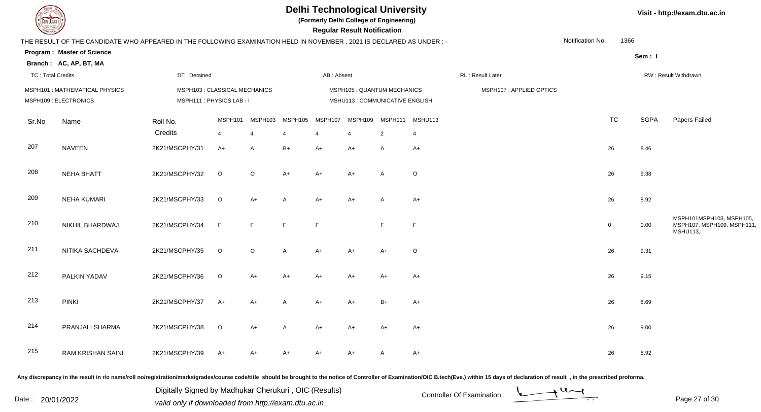**(Formerly Delhi College of Engineering)**

 **Regular Result Notification**

|  |  |  | Visit - http://exam.dtu.ac.in |
|--|--|--|-------------------------------|
|--|--|--|-------------------------------|

| <b>Courses A</b>         |                                                                                                                      |                                                         |         |                |                                                                |                | <b>Regular Result Notification</b> |                 |                |                         |  |                  |                |             |                                                                          |
|--------------------------|----------------------------------------------------------------------------------------------------------------------|---------------------------------------------------------|---------|----------------|----------------------------------------------------------------|----------------|------------------------------------|-----------------|----------------|-------------------------|--|------------------|----------------|-------------|--------------------------------------------------------------------------|
|                          | THE RESULT OF THE CANDIDATE WHO APPEARED IN THE FOLLOWING EXAMINATION HELD IN NOVEMBER, 2021 IS DECLARED AS UNDER :- |                                                         |         |                |                                                                |                |                                    |                 |                |                         |  | Notification No. | 1366           |             |                                                                          |
|                          | <b>Program: Master of Science</b>                                                                                    |                                                         |         |                |                                                                |                |                                    |                 |                |                         |  |                  |                | Sem: I      |                                                                          |
|                          | Branch: AC, AP, BT, MA                                                                                               |                                                         |         |                |                                                                |                |                                    |                 |                |                         |  |                  |                |             |                                                                          |
| <b>TC: Total Credits</b> |                                                                                                                      | DT: Detained                                            |         |                |                                                                | AB: Absent     |                                    |                 |                | RL: Result Later        |  |                  |                |             | RW: Result Withdrawn                                                     |
|                          | MSPH101: MATHEMATICAL PHYSICS<br>MSPH109 : ELECTRONICS                                                               | MSPH103 : CLASSICAL MECHANICS<br>MSPH111: PHYSICS LAB-I |         |                | MSPH105 : QUANTUM MECHANICS<br>MSHU113 : COMMUNICATIVE ENGLISH |                |                                    |                 |                | MSPH107: APPLIED OPTICS |  |                  |                |             |                                                                          |
| Sr.No                    | Name                                                                                                                 | Roll No.                                                | MSPH101 | MSPH103        | MSPH105                                                        | MSPH107        | MSPH109                            | MSPH111 MSHU113 |                |                         |  |                  | <b>TC</b>      | <b>SGPA</b> | Papers Failed                                                            |
|                          |                                                                                                                      | Credits                                                 | 4       | $\overline{4}$ |                                                                | $\overline{4}$ | $\overline{\mathbf{4}}$            | $\overline{2}$  | $\overline{4}$ |                         |  |                  |                |             |                                                                          |
| 207                      | <b>NAVEEN</b>                                                                                                        | 2K21/MSCPHY/31                                          | $A+$    | A              | $B+$                                                           | $A+$           | A+                                 | $\mathsf{A}$    | $A+$           |                         |  |                  | 26             | 8.46        |                                                                          |
| 208                      | <b>NEHA BHATT</b>                                                                                                    | 2K21/MSCPHY/32                                          | $\circ$ | $\circ$        | $A+$                                                           | $A+$           | $A+$                               | $\mathsf{A}$    | $\circ$        |                         |  |                  | 26             | 9.38        |                                                                          |
| 209                      | <b>NEHA KUMARI</b>                                                                                                   | 2K21/MSCPHY/33                                          | $\circ$ | $A+$           | $\mathsf{A}$                                                   | $A+$           | $A+$                               | $\overline{A}$  | $A+$           |                         |  |                  | 26             | 8.92        |                                                                          |
| 210                      | NIKHIL BHARDWAJ                                                                                                      | 2K21/MSCPHY/34                                          | F       | F.             | E                                                              | E              |                                    | E               | E              |                         |  |                  | $\overline{0}$ | 0.00        | MSPH101MSPH103, MSPH105,<br>MSPH107, MSPH109, MSPH111<br><b>MSHU113,</b> |
| 211                      | NITIKA SACHDEVA                                                                                                      | 2K21/MSCPHY/35                                          | $\circ$ | $\circ$        | $\mathsf{A}$                                                   | $A+$           | A+                                 | $A+$            | $\circ$        |                         |  |                  | 26             | 9.31        |                                                                          |
| 212                      | PALKIN YADAV                                                                                                         | 2K21/MSCPHY/36                                          | $\circ$ | A+             | $A+$                                                           | $A+$           | A+                                 | A+              | $A+$           |                         |  |                  | 26             | 9.15        |                                                                          |
| 213                      | <b>PINKI</b>                                                                                                         | 2K21/MSCPHY/37                                          | $A+$    | $A+$           | A                                                              | $A+$           | $A+$                               | $B+$            | $A+$           |                         |  |                  | 26             | 8.69        |                                                                          |
| 214                      | PRANJALI SHARMA                                                                                                      | 2K21/MSCPHY/38                                          | $\circ$ | $A+$           | $\mathsf{A}$                                                   | $A+$           | $A+$                               | $A+$            | $A+$           |                         |  |                  | 26             | 9.00        |                                                                          |
| 215                      | <b>RAM KRISHAN SAINI</b>                                                                                             | 2K21/MSCPHY/39                                          | $A+$    | A+             | $A+$                                                           | A+             | A+                                 |                 | $A+$           |                         |  |                  | 26             | 8.92        |                                                                          |
|                          |                                                                                                                      |                                                         |         |                |                                                                |                |                                    |                 |                |                         |  |                  |                |             |                                                                          |

Any discrepancy in the result in r/o name/roll no/registration/marks/grades/course code/title should be brought to the notice of Controller of Examination/OIC B.tech(Eve.) within 15 days of declaration of result, in the pr

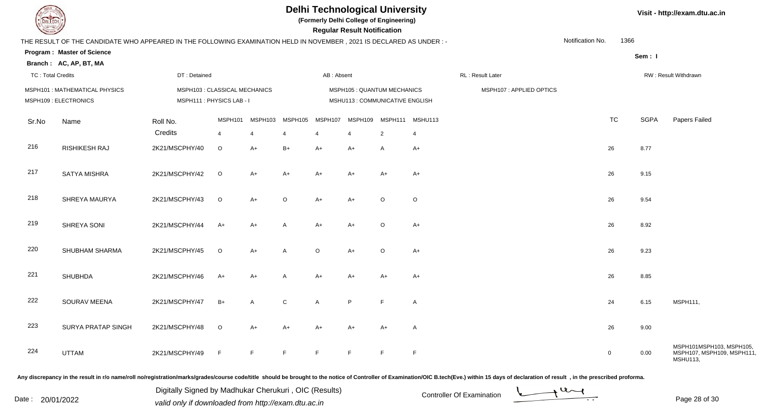**(Formerly Delhi College of Engineering)**

**Regular Regular Results** 

|  | Visit - http://exam.dtu.ac.in |  |
|--|-------------------------------|--|
|--|-------------------------------|--|

| <b>Consultor of Designation of the Consultant Property and South Designation of the Consultant Property and South Property</b> |                                                                                                                      |                     |                           |                           |                                                                |                           | <b>Regular Result Notification</b> |                                   |                         |                  |  |                  |                |             |                                                                          |
|--------------------------------------------------------------------------------------------------------------------------------|----------------------------------------------------------------------------------------------------------------------|---------------------|---------------------------|---------------------------|----------------------------------------------------------------|---------------------------|------------------------------------|-----------------------------------|-------------------------|------------------|--|------------------|----------------|-------------|--------------------------------------------------------------------------|
|                                                                                                                                | THE RESULT OF THE CANDIDATE WHO APPEARED IN THE FOLLOWING EXAMINATION HELD IN NOVEMBER, 2021 IS DECLARED AS UNDER :- |                     |                           |                           |                                                                |                           |                                    |                                   |                         |                  |  | Notification No. | 1366           |             |                                                                          |
|                                                                                                                                | <b>Program: Master of Science</b>                                                                                    |                     |                           |                           |                                                                |                           |                                    |                                   |                         |                  |  |                  |                | Sem: I      |                                                                          |
|                                                                                                                                | Branch: AC, AP, BT, MA                                                                                               |                     |                           |                           |                                                                |                           |                                    |                                   |                         |                  |  |                  |                |             |                                                                          |
| <b>TC: Total Credits</b>                                                                                                       |                                                                                                                      | DT: Detained        |                           |                           |                                                                | AB: Absent                |                                    |                                   |                         | RL: Result Later |  |                  |                |             | RW: Result Withdrawn                                                     |
|                                                                                                                                | MSPH101: MATHEMATICAL PHYSICS<br>MSPH103 : CLASSICAL MECHANICS<br>MSPH111: PHYSICS LAB - I<br>MSPH109 : ELECTRONICS  |                     |                           |                           | MSPH105 : QUANTUM MECHANICS<br>MSHU113 : COMMUNICATIVE ENGLISH |                           |                                    |                                   | MSPH107: APPLIED OPTICS |                  |  |                  |                |             |                                                                          |
| Sr.No                                                                                                                          | Name                                                                                                                 | Roll No.<br>Credits | MSPH101<br>$\overline{4}$ | MSPH103<br>$\overline{4}$ | MSPH105<br>$\overline{4}$                                      | MSPH107<br>$\overline{4}$ | MSPH109<br>$\overline{4}$          | MSPH111 MSHU113<br>$\overline{2}$ | $\overline{4}$          |                  |  |                  | <b>TC</b>      | <b>SGPA</b> | Papers Failed                                                            |
| 216                                                                                                                            | <b>RISHIKESH RAJ</b>                                                                                                 | 2K21/MSCPHY/40      | $\circ$                   | $A+$                      | $B+$                                                           | $A+$                      | $A+$                               | $\mathsf{A}$                      | $A+$                    |                  |  |                  | 26             | 8.77        |                                                                          |
| 217                                                                                                                            | <b>SATYA MISHRA</b>                                                                                                  | 2K21/MSCPHY/42      | $\circ$                   | $A+$                      | $A+$                                                           | $A+$                      | $A+$                               | $A+$                              | $A+$                    |                  |  |                  | 26             | 9.15        |                                                                          |
| 218                                                                                                                            | SHREYA MAURYA                                                                                                        | 2K21/MSCPHY/43      | $\circ$                   | $A+$                      | $\circ$                                                        | $A+$                      | $A+$                               | $\circ$                           | $\circ$                 |                  |  |                  | 26             | 9.54        |                                                                          |
| 219                                                                                                                            | SHREYA SONI                                                                                                          | 2K21/MSCPHY/44      | $A+$                      | $A+$                      | A                                                              | $A+$                      | $A+$                               | $\circ$                           | $A+$                    |                  |  |                  | 26             | 8.92        |                                                                          |
| 220                                                                                                                            | SHUBHAM SHARMA                                                                                                       | 2K21/MSCPHY/45      | $\circ$                   | $A+$                      | A                                                              | $\circ$                   | $A+$                               | $\circ$                           | $A+$                    |                  |  |                  | 26             | 9.23        |                                                                          |
| 221                                                                                                                            | <b>SHUBHDA</b>                                                                                                       | 2K21/MSCPHY/46      | $A+$                      | $A+$                      | A                                                              | $A+$                      | $A+$                               | $A+$                              | $A+$                    |                  |  |                  | 26             | 8.85        |                                                                          |
| 222                                                                                                                            | SOURAV MEENA                                                                                                         | 2K21/MSCPHY/47      | $B+$                      | $\overline{A}$            | $\mathsf{C}$                                                   | A                         | P                                  | F                                 | $\overline{A}$          |                  |  |                  | 24             | 6.15        | MSPH111,                                                                 |
| 223                                                                                                                            | SURYA PRATAP SINGH                                                                                                   | 2K21/MSCPHY/48      | $\circ$                   | $A+$                      | $A+$                                                           | $A+$                      | $A+$                               | $A+$                              | $\overline{A}$          |                  |  |                  | 26             | 9.00        |                                                                          |
| 224                                                                                                                            | <b>UTTAM</b>                                                                                                         | 2K21/MSCPHY/49      | E                         | F                         | F                                                              | F                         | F                                  |                                   | F                       |                  |  |                  | $\overline{0}$ | 0.00        | MSPH101MSPH103, MSPH105,<br>MSPH107, MSPH109, MSPH111<br><b>MSHU113,</b> |
|                                                                                                                                |                                                                                                                      |                     |                           |                           |                                                                |                           |                                    |                                   |                         |                  |  |                  |                |             |                                                                          |

Any discrepancy in the result in r/o name/roll no/registration/marks/grades/course code/title should be brought to the notice of Controller of Examination/OIC B.tech(Eve.) within 15 days of declaration of result, in the pr

Date : 20/01/2022 Valid only if downloaded from http://exam.dtu.ac.in<br>valid only if downloaded from http://exam.dtu.ac.in Digitally Signed by Madhukar Cherukuri , OIC (Results)

Page 28 of 30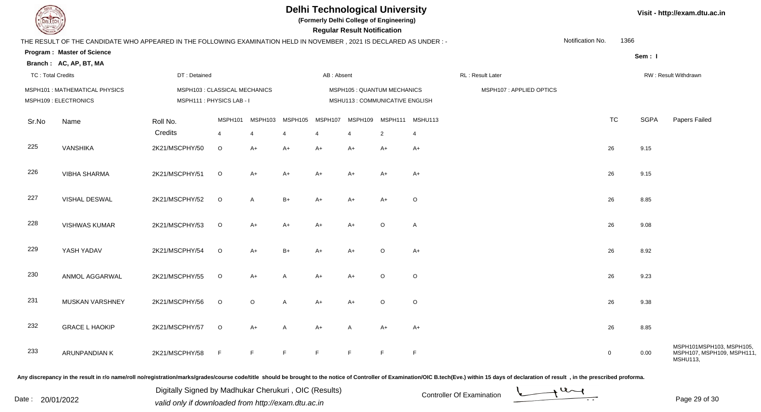**(Formerly Delhi College of Engineering)**

**Regular Regular Results Notification** 

|  | Visit - http://exam.dtu.ac.in |  |
|--|-------------------------------|--|
|--|-------------------------------|--|

| <b>Consultor of Designation of the Consultant Property and South Designation of the Consultant Property and South Property</b> |                                                                                                                     |                                                           |                           |                           |                           |              | <b>Regular Result Notification</b>                             |                                   |                |                  |                         |                  |             |             |                                                                          |
|--------------------------------------------------------------------------------------------------------------------------------|---------------------------------------------------------------------------------------------------------------------|-----------------------------------------------------------|---------------------------|---------------------------|---------------------------|--------------|----------------------------------------------------------------|-----------------------------------|----------------|------------------|-------------------------|------------------|-------------|-------------|--------------------------------------------------------------------------|
|                                                                                                                                | THE RESULT OF THE CANDIDATE WHO APPEARED IN THE FOLLOWING EXAMINATION HELD IN NOVEMBER, 2021 IS DECLARED AS UNDER:- |                                                           |                           |                           |                           |              |                                                                |                                   |                |                  |                         | Notification No. | 1366        |             |                                                                          |
|                                                                                                                                | <b>Program: Master of Science</b>                                                                                   |                                                           |                           |                           |                           |              |                                                                |                                   |                |                  |                         |                  |             | Sem: I      |                                                                          |
|                                                                                                                                | Branch: AC, AP, BT, MA                                                                                              |                                                           |                           |                           |                           |              |                                                                |                                   |                |                  |                         |                  |             |             |                                                                          |
| <b>TC: Total Credits</b>                                                                                                       |                                                                                                                     | DT: Detained                                              |                           |                           |                           | AB: Absent   |                                                                |                                   |                | RL: Result Later |                         |                  |             |             | RW: Result Withdrawn                                                     |
|                                                                                                                                | MSPH101 : MATHEMATICAL PHYSICS<br>MSPH109 : ELECTRONICS                                                             | MSPH103 : CLASSICAL MECHANICS<br>MSPH111: PHYSICS LAB - I |                           |                           |                           |              | MSPH105 : QUANTUM MECHANICS<br>MSHU113 : COMMUNICATIVE ENGLISH |                                   |                |                  | MSPH107: APPLIED OPTICS |                  |             |             |                                                                          |
| Sr.No                                                                                                                          | Name                                                                                                                | Roll No.<br>Credits                                       | MSPH101<br>$\overline{4}$ | MSPH103<br>$\overline{4}$ | MSPH105<br>$\overline{4}$ | MSPH107<br>4 | MSPH109<br>$\overline{4}$                                      | MSPH111 MSHU113<br>$\overline{2}$ | $\overline{4}$ |                  |                         |                  | <b>TC</b>   | <b>SGPA</b> | Papers Failed                                                            |
| 225                                                                                                                            | VANSHIKA                                                                                                            | 2K21/MSCPHY/50                                            | $\circ$                   | $A+$                      | $A+$                      | $A+$         | $A+$                                                           | $A+$                              | $A+$           |                  |                         |                  | 26          | 9.15        |                                                                          |
| 226                                                                                                                            | <b>VIBHA SHARMA</b>                                                                                                 | 2K21/MSCPHY/51                                            | $\circ$                   | $A+$                      | $A+$                      | $A+$         | A+                                                             | $A+$                              | $A+$           |                  |                         |                  | 26          | 9.15        |                                                                          |
| 227                                                                                                                            | VISHAL DESWAL                                                                                                       | 2K21/MSCPHY/52                                            | $\circ$                   | $\overline{A}$            | $B+$                      | $A+$         | A+                                                             | $A+$                              | $\mathsf O$    |                  |                         |                  | 26          | 8.85        |                                                                          |
| 228                                                                                                                            | <b>VISHWAS KUMAR</b>                                                                                                | 2K21/MSCPHY/53                                            | $\circ$                   | $A+$                      | $A+$                      | $A+$         | $A+$                                                           | $\circ$                           | $\overline{A}$ |                  |                         |                  | 26          | 9.08        |                                                                          |
| 229                                                                                                                            | YASH YADAV                                                                                                          | 2K21/MSCPHY/54                                            | $\circ$                   | $A+$                      | $B+$                      | $A+$         | $A+$                                                           | $\circ$                           | $A+$           |                  |                         |                  | 26          | 8.92        |                                                                          |
| 230                                                                                                                            | ANMOL AGGARWAL                                                                                                      | 2K21/MSCPHY/55                                            | $\circ$                   | $A+$                      | A                         | $A+$         | $A+$                                                           | $\circ$                           | $\mathsf O$    |                  |                         |                  | 26          | 9.23        |                                                                          |
| 231                                                                                                                            | MUSKAN VARSHNEY                                                                                                     | 2K21/MSCPHY/56                                            | $\circ$                   | $\circ$                   | A                         | $A+$         | $A+$                                                           | $\circ$                           | $\circ$        |                  |                         |                  | 26          | 9.38        |                                                                          |
| 232                                                                                                                            | <b>GRACE L HAOKIP</b>                                                                                               | 2K21/MSCPHY/57                                            | $\circ$                   | $A+$                      | $\mathsf{A}$              | $A+$         | $\overline{A}$                                                 | $A+$                              | $A+$           |                  |                         |                  | 26          | 8.85        |                                                                          |
| 233                                                                                                                            | ARUNPANDIAN K                                                                                                       | 2K21/MSCPHY/58                                            | F                         | F                         | E                         | F            | F                                                              | E                                 | $\mathsf F$    |                  |                         |                  | $\mathbf 0$ | 0.00        | MSPH101MSPH103, MSPH105,<br>MSPH107, MSPH109, MSPH111<br><b>MSHU113,</b> |
|                                                                                                                                |                                                                                                                     |                                                           |                           |                           |                           |              |                                                                |                                   |                |                  |                         |                  |             |             |                                                                          |

Any discrepancy in the result in r/o name/roll no/registration/marks/grades/course code/title should be brought to the notice of Controller of Examination/OIC B.tech(Eve.) within 15 days of declaration of result, in the pr

Digitally Signed by Madhukar Cherukuri, OIC (Results)<br>Date : 20/01/2022 valid only if downloaded from http://oxam.dtu.ac.in Digitally Signed by Madhukar Cherukuri , OIC (Results)valid only if downloaded from http://exam.dtu.ac.in

Page 29 of 30